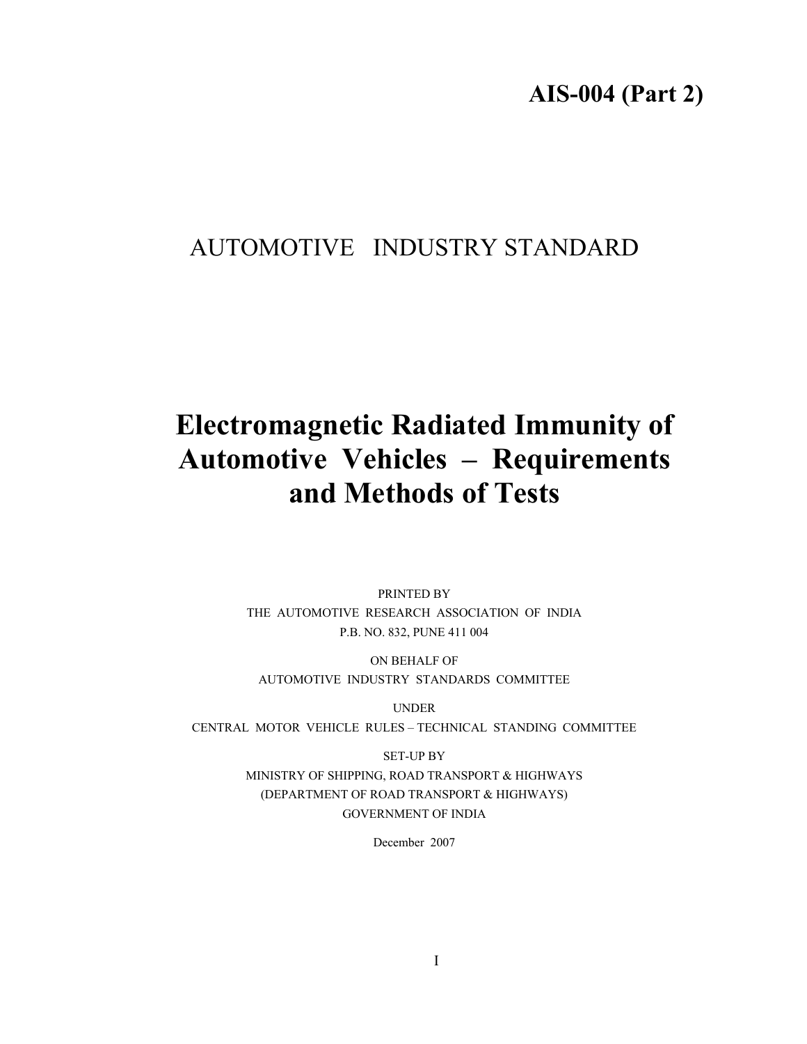## AUTOMOTIVE INDUSTRY STANDARD

# **Electromagnetic Radiated Immunity of Automotive Vehicles – Requirements and Methods of Tests**

PRINTED BY THE AUTOMOTIVE RESEARCH ASSOCIATION OF INDIA P.B. NO. 832, PUNE 411 004

ON BEHALF OF AUTOMOTIVE INDUSTRY STANDARDS COMMITTEE

UNDER

CENTRAL MOTOR VEHICLE RULES – TECHNICAL STANDING COMMITTEE

SET-UP BY MINISTRY OF SHIPPING, ROAD TRANSPORT & HIGHWAYS (DEPARTMENT OF ROAD TRANSPORT & HIGHWAYS) GOVERNMENT OF INDIA

December 2007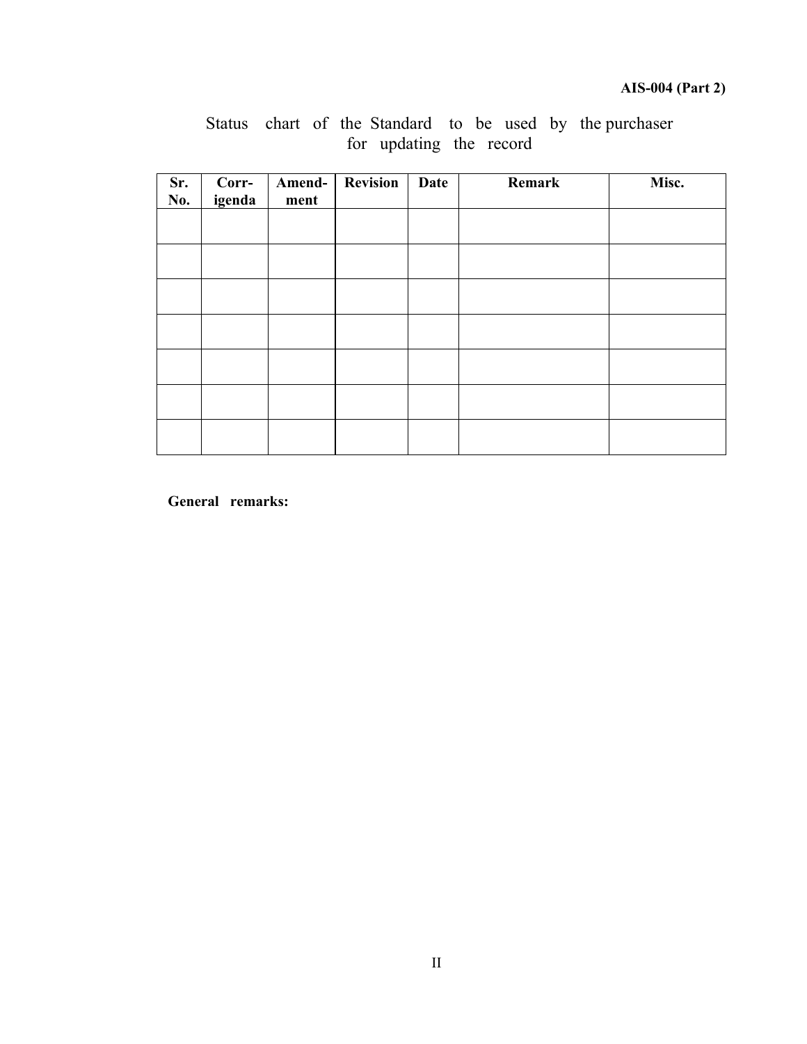| Sr.<br>No. | Corr-<br>igenda | Amend-<br>ment | <b>Revision</b> | Date | Remark | Misc. |
|------------|-----------------|----------------|-----------------|------|--------|-------|
|            |                 |                |                 |      |        |       |
|            |                 |                |                 |      |        |       |
|            |                 |                |                 |      |        |       |
|            |                 |                |                 |      |        |       |
|            |                 |                |                 |      |        |       |
|            |                 |                |                 |      |        |       |
|            |                 |                |                 |      |        |       |

Status chart of the Standard to be used by the purchaser for updating the record

**General remarks:**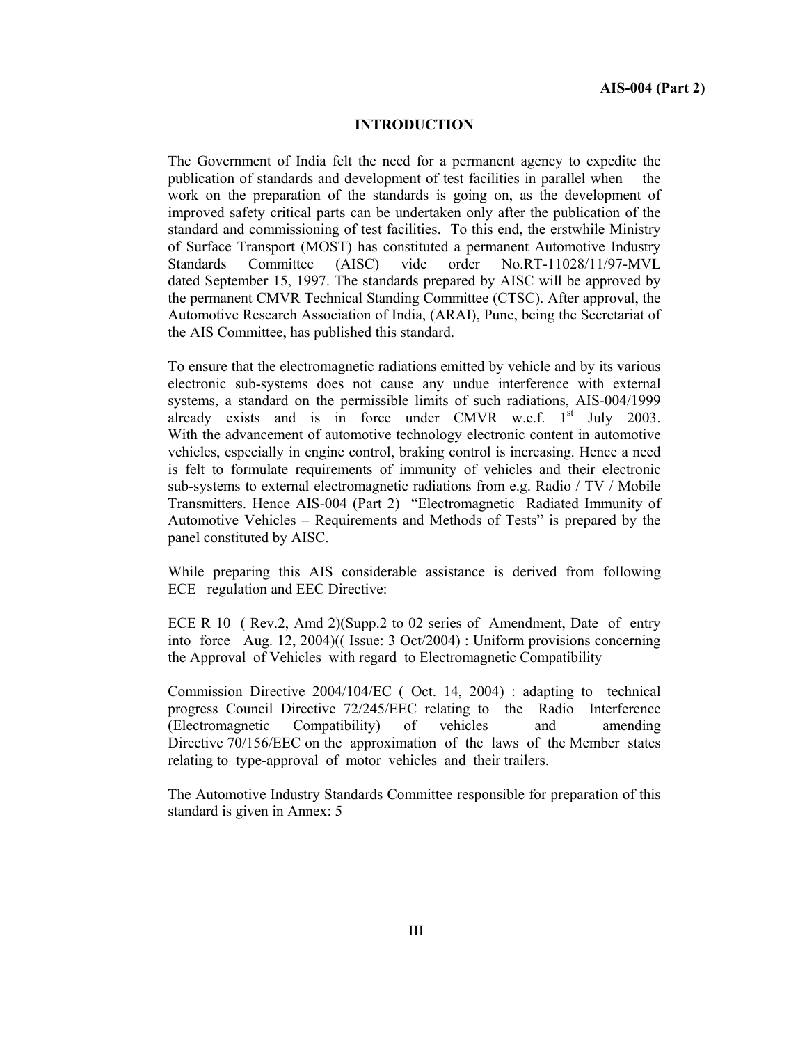#### **INTRODUCTION**

The Government of India felt the need for a permanent agency to expedite the publication of standards and development of test facilities in parallel when the work on the preparation of the standards is going on, as the development of improved safety critical parts can be undertaken only after the publication of the standard and commissioning of test facilities. To this end, the erstwhile Ministry of Surface Transport (MOST) has constituted a permanent Automotive Industry Standards Committee (AISC) vide order No.RT-11028/11/97-MVL dated September 15, 1997. The standards prepared by AISC will be approved by the permanent CMVR Technical Standing Committee (CTSC). After approval, the Automotive Research Association of India, (ARAI), Pune, being the Secretariat of the AIS Committee, has published this standard.

To ensure that the electromagnetic radiations emitted by vehicle and by its various electronic sub-systems does not cause any undue interference with external systems, a standard on the permissible limits of such radiations, AIS-004/1999 already exists and is in force under CMVR w.e.f.  $1<sup>st</sup>$  July 2003. With the advancement of automotive technology electronic content in automotive vehicles, especially in engine control, braking control is increasing. Hence a need is felt to formulate requirements of immunity of vehicles and their electronic sub-systems to external electromagnetic radiations from e.g. Radio / TV / Mobile Transmitters. Hence AIS-004 (Part 2) "Electromagnetic Radiated Immunity of Automotive Vehicles – Requirements and Methods of Tests" is prepared by the panel constituted by AISC.

While preparing this AIS considerable assistance is derived from following ECE regulation and EEC Directive:

ECE R 10 ( Rev.2, Amd 2)(Supp.2 to 02 series of Amendment, Date of entry into force Aug. 12, 2004)(( Issue: 3 Oct/2004) : Uniform provisions concerning the Approval of Vehicles with regard to Electromagnetic Compatibility

Commission Directive 2004/104/EC ( Oct. 14, 2004) : adapting to technical progress Council Directive 72/245/EEC relating to the Radio Interference (Electromagnetic Compatibility) of vehicles and amending Directive 70/156/EEC on the approximation of the laws of the Member states relating to type-approval of motor vehicles and their trailers.

The Automotive Industry Standards Committee responsible for preparation of this standard is given in Annex: 5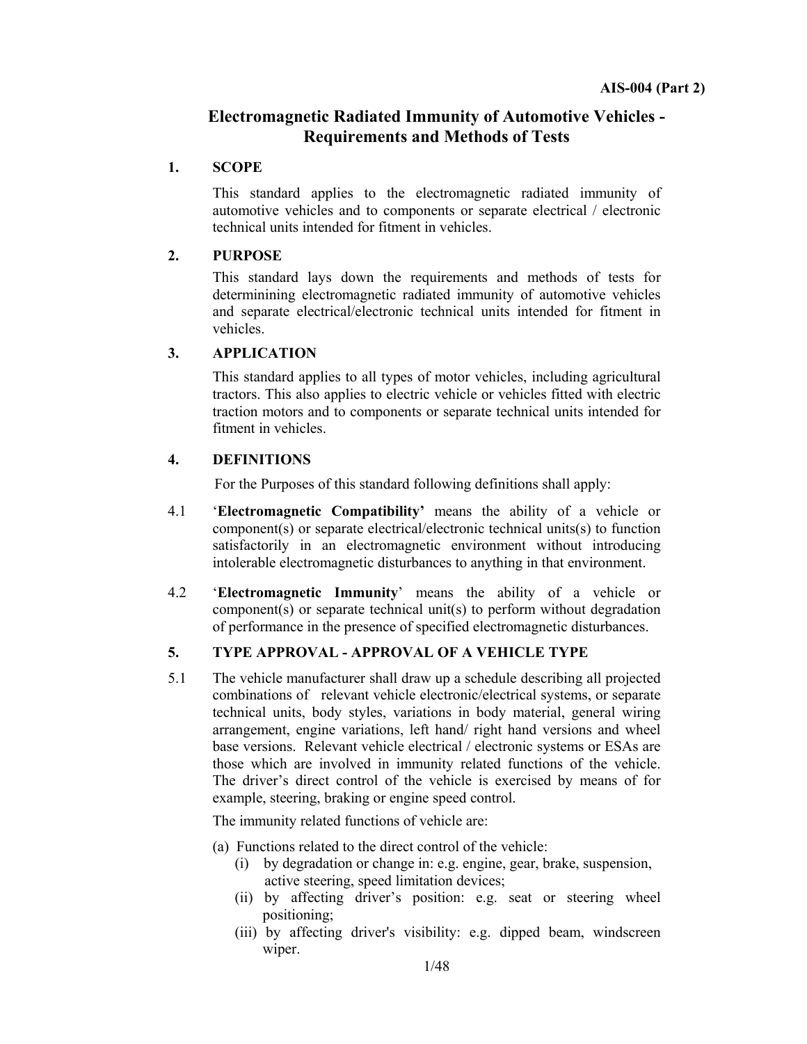## **Electromagnetic Radiated Immunity of Automotive Vehicles - Requirements and Methods of Tests**

#### **1. SCOPE**

This standard applies to the electromagnetic radiated immunity of automotive vehicles and to components or separate electrical / electronic technical units intended for fitment in vehicles.

#### **2. PURPOSE**

This standard lays down the requirements and methods of tests for determinining electromagnetic radiated immunity of automotive vehicles and separate electrical/electronic technical units intended for fitment in vehicles.

#### **3. APPLICATION**

This standard applies to all types of motor vehicles, including agricultural tractors. This also applies to electric vehicle or vehicles fitted with electric traction motors and to components or separate technical units intended for fitment in vehicles.

#### **4. DEFINITIONS**

For the Purposes of this standard following definitions shall apply:

- 4.1 '**Electromagnetic Compatibility'** means the ability of a vehicle or component(s) or separate electrical/electronic technical units(s) to function satisfactorily in an electromagnetic environment without introducing intolerable electromagnetic disturbances to anything in that environment.
- 4.2 '**Electromagnetic Immunity**' means the ability of a vehicle or component(s) or separate technical unit(s) to perform without degradation of performance in the presence of specified electromagnetic disturbances.

## **5. TYPE APPROVAL - APPROVAL OF A VEHICLE TYPE**

5.1The vehicle manufacturer shall draw up a schedule describing all projected combinations of relevant vehicle electronic/electrical systems, or separate technical units, body styles, variations in body material, general wiring arrangement, engine variations, left hand/ right hand versions and wheel base versions. Relevant vehicle electrical / electronic systems or ESAs are those which are involved in immunity related functions of the vehicle. The driver's direct control of the vehicle is exercised by means of for example, steering, braking or engine speed control.

The immunity related functions of vehicle are:

- (a) Functions related to the direct control of the vehicle:
	- (i) by degradation or change in: e.g. engine, gear, brake, suspension, active steering, speed limitation devices;
	- (ii) by affecting driver's position: e.g. seat or steering wheel positioning;
	- (iii) by affecting driver's visibility: e.g. dipped beam, windscreen wiper.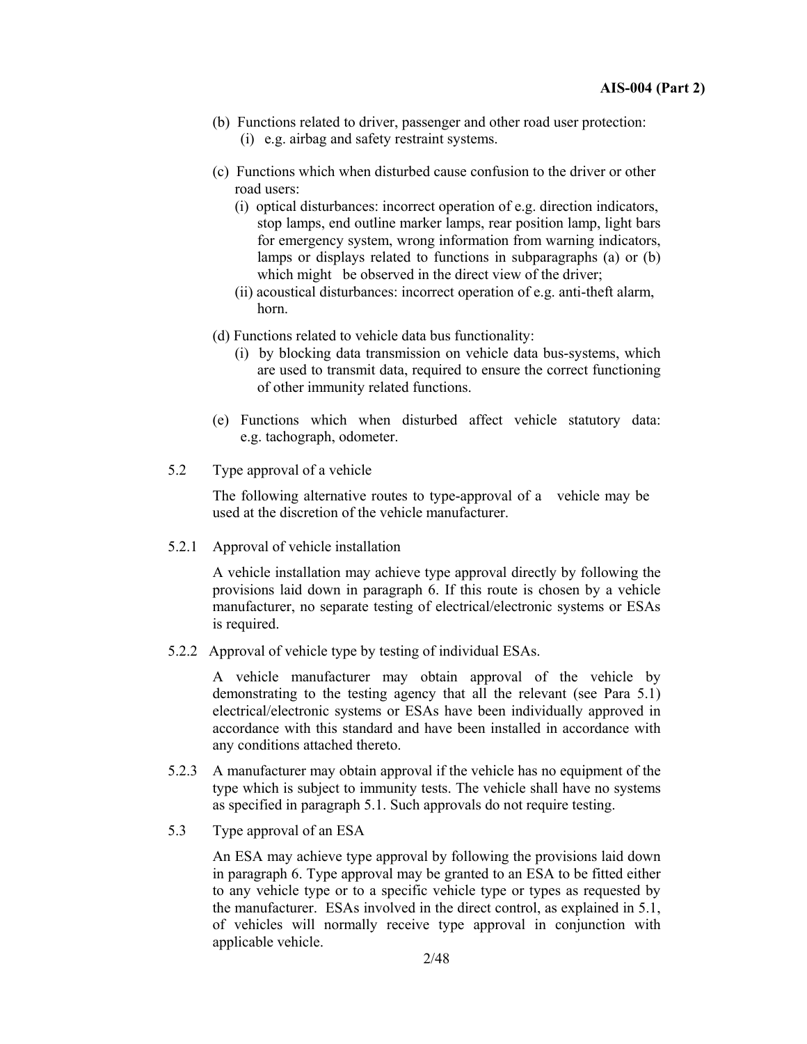- (b) Functions related to driver, passenger and other road user protection: (i) e.g. airbag and safety restraint systems.
- (c) Functions which when disturbed cause confusion to the driver or other road users:
	- (i) optical disturbances: incorrect operation of e.g. direction indicators, stop lamps, end outline marker lamps, rear position lamp, light bars for emergency system, wrong information from warning indicators, lamps or displays related to functions in subparagraphs (a) or (b) which might be observed in the direct view of the driver;
	- (ii) acoustical disturbances: incorrect operation of e.g. anti-theft alarm, horn.
- (d) Functions related to vehicle data bus functionality:
	- (i) by blocking data transmission on vehicle data bus-systems, which are used to transmit data, required to ensure the correct functioning of other immunity related functions.
- (e) Functions which when disturbed affect vehicle statutory data: e.g. tachograph, odometer.
- 5.2 Type approval of a vehicle

The following alternative routes to type-approval of a vehicle may be used at the discretion of the vehicle manufacturer.

5.2.1 Approval of vehicle installation

 A vehicle installation may achieve type approval directly by following the provisions laid down in paragraph 6. If this route is chosen by a vehicle manufacturer, no separate testing of electrical/electronic systems or ESAs is required.

5.2.2 Approval of vehicle type by testing of individual ESAs.

A vehicle manufacturer may obtain approval of the vehicle by demonstrating to the testing agency that all the relevant (see Para 5.1) electrical/electronic systems or ESAs have been individually approved in accordance with this standard and have been installed in accordance with any conditions attached thereto.

- 5.2.3 A manufacturer may obtain approval if the vehicle has no equipment of the type which is subject to immunity tests. The vehicle shall have no systems as specified in paragraph 5.1. Such approvals do not require testing.
- 5.3 Type approval of an ESA

An ESA may achieve type approval by following the provisions laid down in paragraph 6. Type approval may be granted to an ESA to be fitted either to any vehicle type or to a specific vehicle type or types as requested by the manufacturer. ESAs involved in the direct control, as explained in 5.1, of vehicles will normally receive type approval in conjunction with applicable vehicle.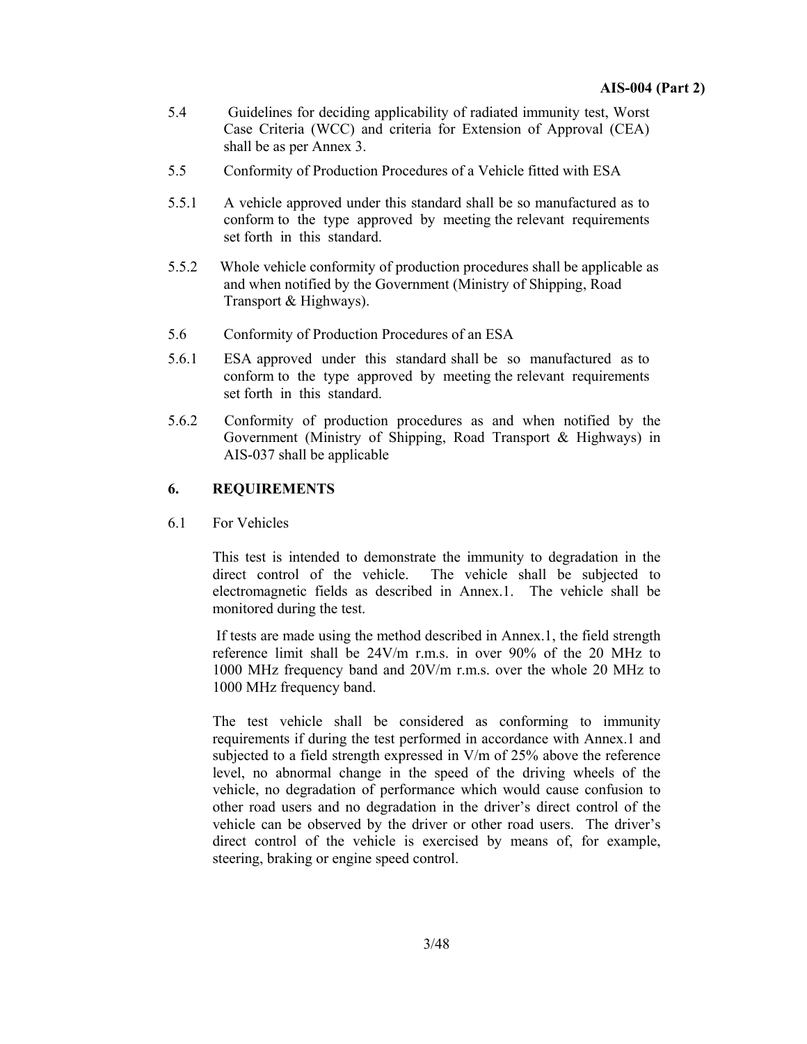- 5.4 Guidelines for deciding applicability of radiated immunity test, Worst Case Criteria (WCC) and criteria for Extension of Approval (CEA) shall be as per Annex 3.
- 5.5 Conformity of Production Procedures of a Vehicle fitted with ESA
- 5.5.1 A vehicle approved under this standard shall be so manufactured as to conform to the type approved by meeting the relevant requirements set forth in this standard.
- 5.5.2 Whole vehicle conformity of production procedures shall be applicable as and when notified by the Government (Ministry of Shipping, Road Transport & Highways).
- 5.6 Conformity of Production Procedures of an ESA
- 5.6.1 ESA approved under this standard shall be so manufactured as to conform to the type approved by meeting the relevant requirements set forth in this standard.
- 5.6.2 Conformity of production procedures as and when notified by the Government (Ministry of Shipping, Road Transport & Highways) in AIS-037 shall be applicable

#### **6. REQUIREMENTS**

6.1 For Vehicles

This test is intended to demonstrate the immunity to degradation in the direct control of the vehicle. The vehicle shall be subjected to electromagnetic fields as described in Annex.1. The vehicle shall be monitored during the test.

 If tests are made using the method described in Annex.1, the field strength reference limit shall be 24V/m r.m.s. in over 90% of the 20 MHz to 1000 MHz frequency band and 20V/m r.m.s. over the whole 20 MHz to 1000 MHz frequency band.

The test vehicle shall be considered as conforming to immunity requirements if during the test performed in accordance with Annex.1 and subjected to a field strength expressed in V/m of 25% above the reference level, no abnormal change in the speed of the driving wheels of the vehicle, no degradation of performance which would cause confusion to other road users and no degradation in the driver's direct control of the vehicle can be observed by the driver or other road users. The driver's direct control of the vehicle is exercised by means of, for example, steering, braking or engine speed control.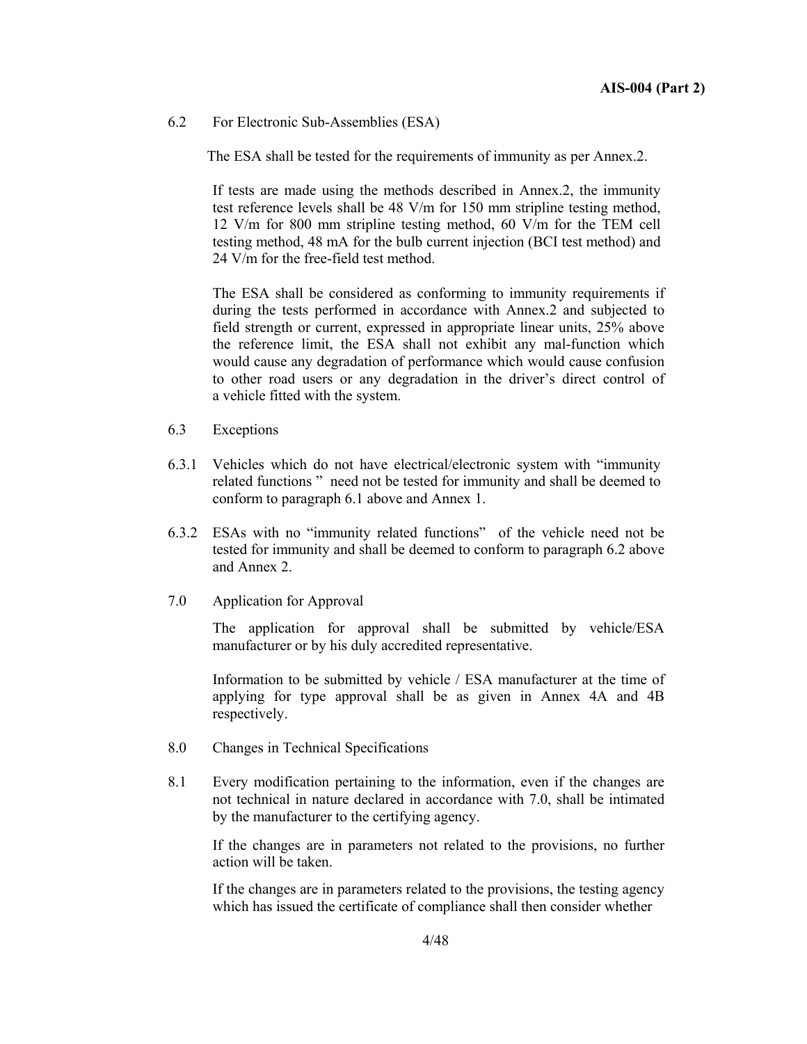6.2 For Electronic Sub-Assemblies (ESA)

The ESA shall be tested for the requirements of immunity as per Annex.2.

If tests are made using the methods described in Annex.2, the immunity test reference levels shall be 48 V/m for 150 mm stripline testing method, 12 V/m for 800 mm stripline testing method, 60 V/m for the TEM cell testing method, 48 mA for the bulb current injection (BCI test method) and 24 V/m for the free-field test method.

The ESA shall be considered as conforming to immunity requirements if during the tests performed in accordance with Annex.2 and subjected to field strength or current, expressed in appropriate linear units, 25% above the reference limit, the ESA shall not exhibit any mal-function which would cause any degradation of performance which would cause confusion to other road users or any degradation in the driver's direct control of a vehicle fitted with the system.

- 6.3 Exceptions
- 6.3.1 Vehicles which do not have electrical/electronic system with "immunity related functions " need not be tested for immunity and shall be deemed to conform to paragraph 6.1 above and Annex 1.
- 6.3.2 ESAs with no "immunity related functions" of the vehicle need not be tested for immunity and shall be deemed to conform to paragraph 6.2 above and Annex 2.
- 7.0 Application for Approval

 The application for approval shall be submitted by vehicle/ESA manufacturer or by his duly accredited representative.

 Information to be submitted by vehicle / ESA manufacturer at the time of applying for type approval shall be as given in Annex 4A and 4B respectively.

- 8.0 Changes in Technical Specifications
- 8.1 Every modification pertaining to the information, even if the changes are not technical in nature declared in accordance with 7.0, shall be intimated by the manufacturer to the certifying agency.

 If the changes are in parameters not related to the provisions, no further action will be taken.

 If the changes are in parameters related to the provisions, the testing agency which has issued the certificate of compliance shall then consider whether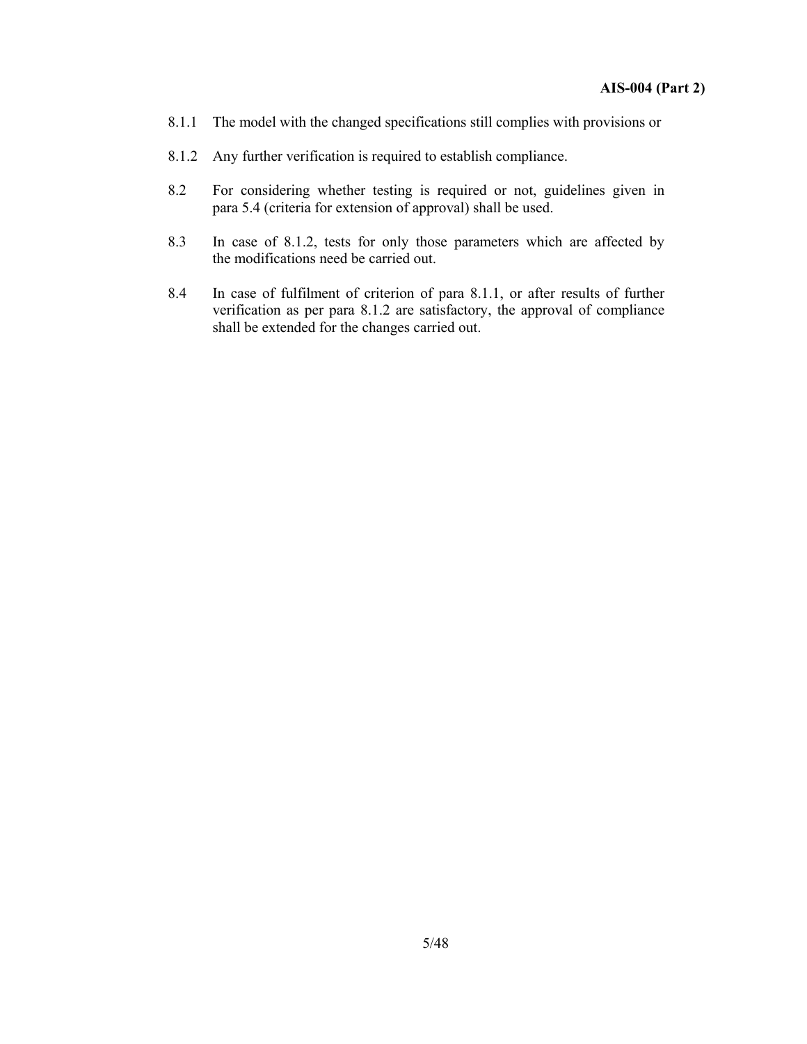- 8.1.1 The model with the changed specifications still complies with provisions or
- 8.1.2 Any further verification is required to establish compliance.
- 8.2 For considering whether testing is required or not, guidelines given in para 5.4 (criteria for extension of approval) shall be used.
- 8.3 In case of 8.1.2, tests for only those parameters which are affected by the modifications need be carried out.
- 8.4 In case of fulfilment of criterion of para 8.1.1, or after results of further verification as per para 8.1.2 are satisfactory, the approval of compliance shall be extended for the changes carried out.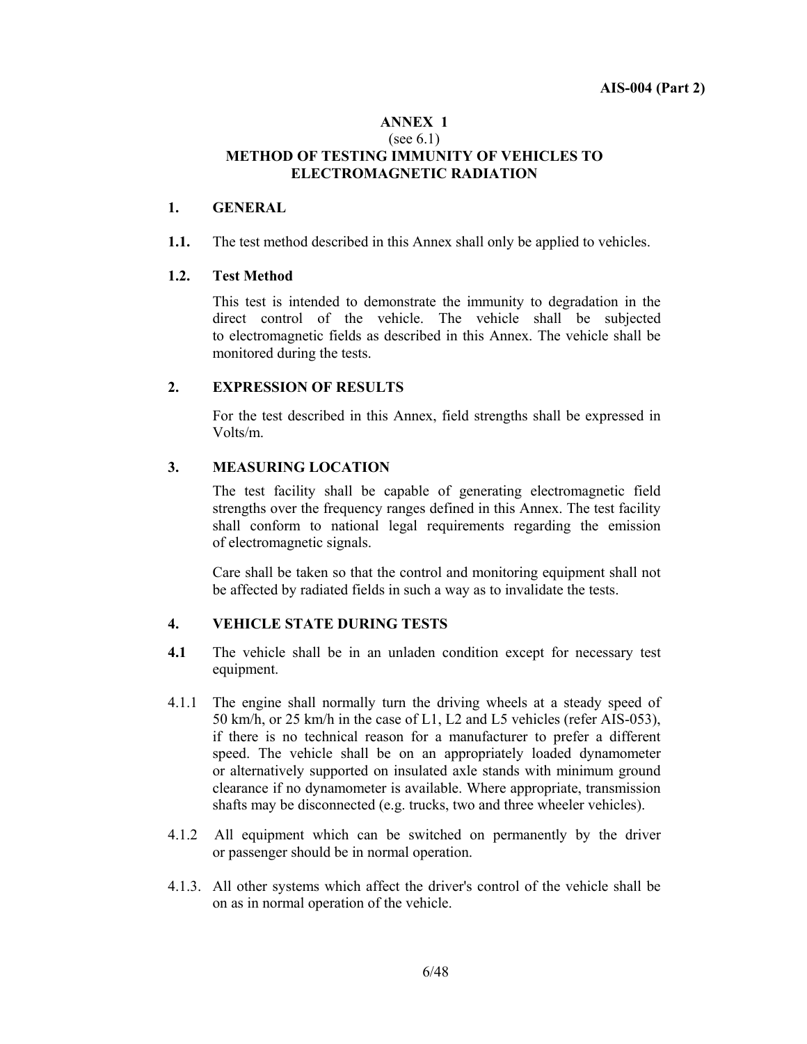#### **ANNEX 1**  (see 6.1) **METHOD OF TESTING IMMUNITY OF VEHICLES TO ELECTROMAGNETIC RADIATION**

#### **1. GENERAL**

**1.1.** The test method described in this Annex shall only be applied to vehicles.

#### **1.2. Test Method**

 This test is intended to demonstrate the immunity to degradation in the direct control of the vehicle. The vehicle shall be subjected to electromagnetic fields as described in this Annex. The vehicle shall be monitored during the tests.

#### **2. EXPRESSION OF RESULTS**

 For the test described in this Annex, field strengths shall be expressed in Volts/m.

#### **3. MEASURING LOCATION**

 The test facility shall be capable of generating electromagnetic field strengths over the frequency ranges defined in this Annex. The test facility shall conform to national legal requirements regarding the emission of electromagnetic signals.

Care shall be taken so that the control and monitoring equipment shall not be affected by radiated fields in such a way as to invalidate the tests.

#### **4. VEHICLE STATE DURING TESTS**

- **4.1** The vehicle shall be in an unladen condition except for necessary test equipment.
- 4.1.1 The engine shall normally turn the driving wheels at a steady speed of 50 km/h, or 25 km/h in the case of L1, L2 and L5 vehicles (refer AIS-053), if there is no technical reason for a manufacturer to prefer a different speed. The vehicle shall be on an appropriately loaded dynamometer or alternatively supported on insulated axle stands with minimum ground clearance if no dynamometer is available. Where appropriate, transmission shafts may be disconnected (e.g. trucks, two and three wheeler vehicles).
- 4.1.2 All equipment which can be switched on permanently by the driver or passenger should be in normal operation.
- 4.1.3. All other systems which affect the driver's control of the vehicle shall be on as in normal operation of the vehicle.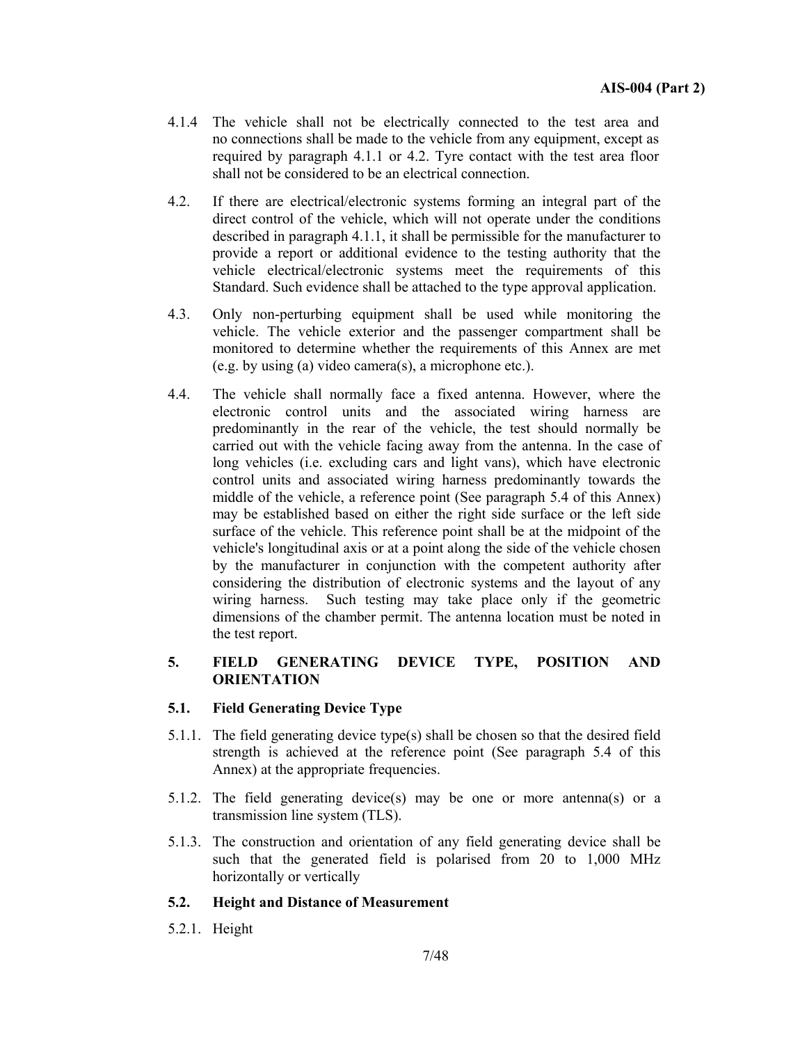- 4.1.4 The vehicle shall not be electrically connected to the test area and no connections shall be made to the vehicle from any equipment, except as required by paragraph 4.1.1 or 4.2. Tyre contact with the test area floor shall not be considered to be an electrical connection.
- 4.2.If there are electrical/electronic systems forming an integral part of the direct control of the vehicle, which will not operate under the conditions described in paragraph 4.1.1, it shall be permissible for the manufacturer to provide a report or additional evidence to the testing authority that the vehicle electrical/electronic systems meet the requirements of this Standard. Such evidence shall be attached to the type approval application.
- 4.3.Only non-perturbing equipment shall be used while monitoring the vehicle. The vehicle exterior and the passenger compartment shall be monitored to determine whether the requirements of this Annex are met (e.g. by using (a) video camera(s), a microphone etc.).
- 4.4.The vehicle shall normally face a fixed antenna. However, where the electronic control units and the associated wiring harness are predominantly in the rear of the vehicle, the test should normally be carried out with the vehicle facing away from the antenna. In the case of long vehicles (i.e. excluding cars and light vans), which have electronic control units and associated wiring harness predominantly towards the middle of the vehicle, a reference point (See paragraph 5.4 of this Annex) may be established based on either the right side surface or the left side surface of the vehicle. This reference point shall be at the midpoint of the vehicle's longitudinal axis or at a point along the side of the vehicle chosen by the manufacturer in conjunction with the competent authority after considering the distribution of electronic systems and the layout of any wiring harness. Such testing may take place only if the geometric dimensions of the chamber permit. The antenna location must be noted in the test report.

#### **5. FIELD GENERATING DEVICE TYPE, POSITION AND ORIENTATION**

#### **5.1. Field Generating Device Type**

- 5.1.1. The field generating device type(s) shall be chosen so that the desired field strength is achieved at the reference point (See paragraph 5.4 of this Annex) at the appropriate frequencies.
- 5.1.2. The field generating device(s) may be one or more antenna(s) or a transmission line system (TLS).
- 5.1.3. The construction and orientation of any field generating device shall be such that the generated field is polarised from 20 to 1,000 MHz horizontally or vertically

#### **5.2. Height and Distance of Measurement**

5.2.1. Height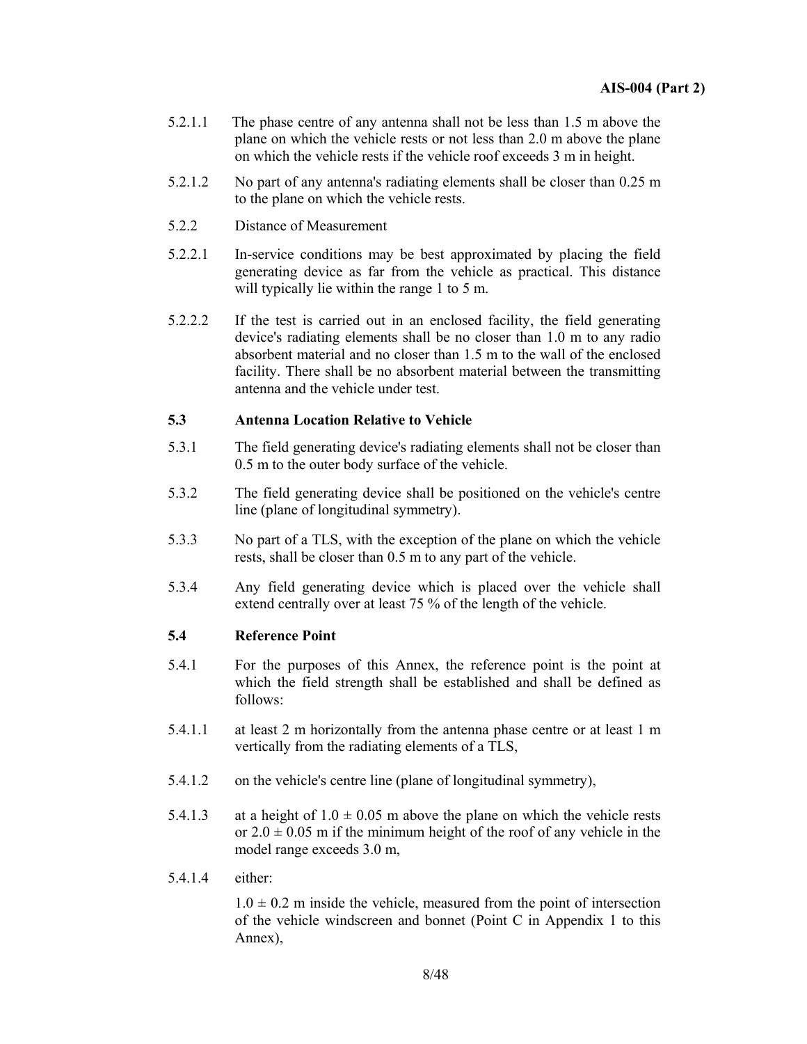- 5.2.1.1 The phase centre of any antenna shall not be less than 1.5 m above the plane on which the vehicle rests or not less than 2.0 m above the plane on which the vehicle rests if the vehicle roof exceeds 3 m in height.
- 5.2.1.2 No part of any antenna's radiating elements shall be closer than 0.25 m to the plane on which the vehicle rests.
- 5.2.2 Distance of Measurement
- 5.2.2.1 In-service conditions may be best approximated by placing the field generating device as far from the vehicle as practical. This distance will typically lie within the range 1 to 5 m.
- 5.2.2.2 If the test is carried out in an enclosed facility, the field generating device's radiating elements shall be no closer than 1.0 m to any radio absorbent material and no closer than 1.5 m to the wall of the enclosed facility. There shall be no absorbent material between the transmitting antenna and the vehicle under test.

#### **5.3 Antenna Location Relative to Vehicle**

- 5.3.1 The field generating device's radiating elements shall not be closer than 0.5 m to the outer body surface of the vehicle.
- 5.3.2 The field generating device shall be positioned on the vehicle's centre line (plane of longitudinal symmetry).
- 5.3.3 No part of a TLS, with the exception of the plane on which the vehicle rests, shall be closer than 0.5 m to any part of the vehicle.
- 5.3.4 Any field generating device which is placed over the vehicle shall extend centrally over at least 75 % of the length of the vehicle.

#### **5.4 Reference Point**

- 5.4.1 For the purposes of this Annex, the reference point is the point at which the field strength shall be established and shall be defined as follows:
- 5.4.1.1 at least 2 m horizontally from the antenna phase centre or at least 1 m vertically from the radiating elements of a TLS,
- 5.4.1.2 on the vehicle's centre line (plane of longitudinal symmetry),
- 5.4.1.3 at a height of  $1.0 \pm 0.05$  m above the plane on which the vehicle rests or  $2.0 \pm 0.05$  m if the minimum height of the roof of any vehicle in the model range exceeds 3.0 m,
- 5.4.1.4 either:

 $1.0 \pm 0.2$  m inside the vehicle, measured from the point of intersection of the vehicle windscreen and bonnet (Point C in Appendix 1 to this Annex),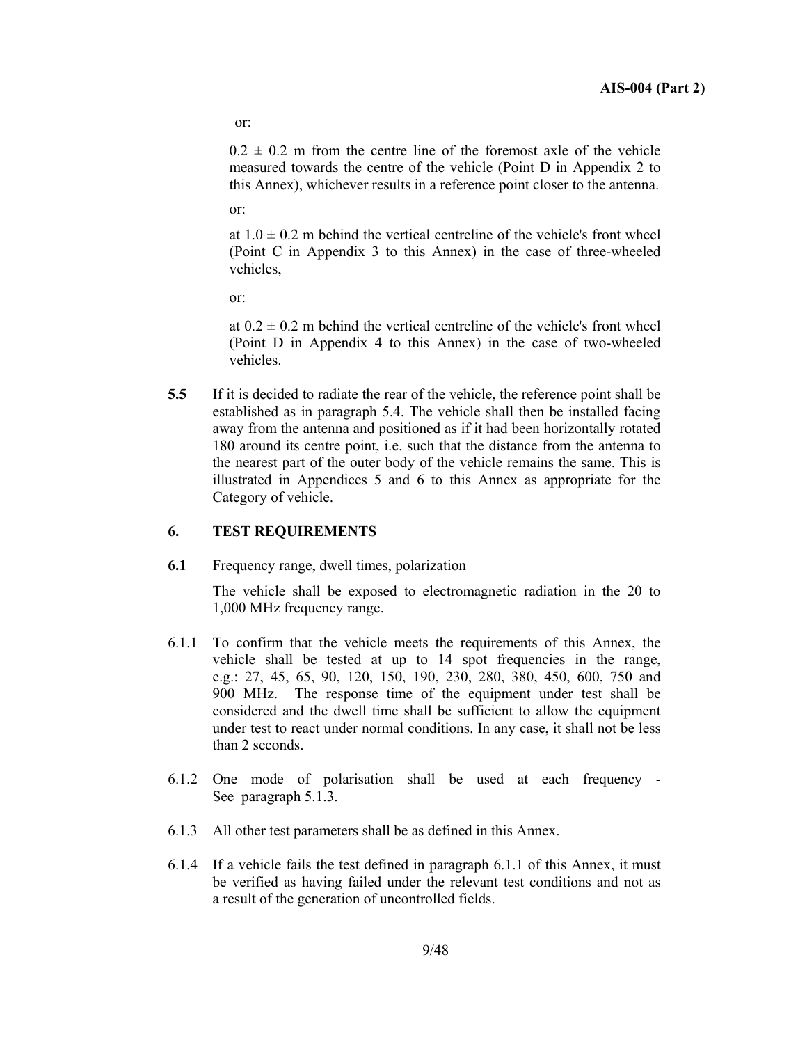or:

 $0.2 \pm 0.2$  m from the centre line of the foremost axle of the vehicle measured towards the centre of the vehicle (Point D in Appendix 2 to this Annex), whichever results in a reference point closer to the antenna.

or:

at  $1.0 \pm 0.2$  m behind the vertical centreline of the vehicle's front wheel (Point C in Appendix 3 to this Annex) in the case of three-wheeled vehicles,

or:

at  $0.2 \pm 0.2$  m behind the vertical centreline of the vehicle's front wheel (Point D in Appendix 4 to this Annex) in the case of two-wheeled vehicles.

**5.5** If it is decided to radiate the rear of the vehicle, the reference point shall be established as in paragraph 5.4. The vehicle shall then be installed facing away from the antenna and positioned as if it had been horizontally rotated 180 around its centre point, i.e. such that the distance from the antenna to the nearest part of the outer body of the vehicle remains the same. This is illustrated in Appendices 5 and 6 to this Annex as appropriate for the Category of vehicle.

#### **6. TEST REQUIREMENTS**

**6.1** Frequency range, dwell times, polarization

 The vehicle shall be exposed to electromagnetic radiation in the 20 to 1,000 MHz frequency range.

- 6.1.1 To confirm that the vehicle meets the requirements of this Annex, the vehicle shall be tested at up to 14 spot frequencies in the range, e.g.: 27, 45, 65, 90, 120, 150, 190, 230, 280, 380, 450, 600, 750 and 900 MHz. The response time of the equipment under test shall be considered and the dwell time shall be sufficient to allow the equipment under test to react under normal conditions. In any case, it shall not be less than 2 seconds.
- 6.1.2 One mode of polarisation shall be used at each frequency See paragraph 5.1.3.
- 6.1.3 All other test parameters shall be as defined in this Annex.
- 6.1.4 If a vehicle fails the test defined in paragraph 6.1.1 of this Annex, it must be verified as having failed under the relevant test conditions and not as a result of the generation of uncontrolled fields.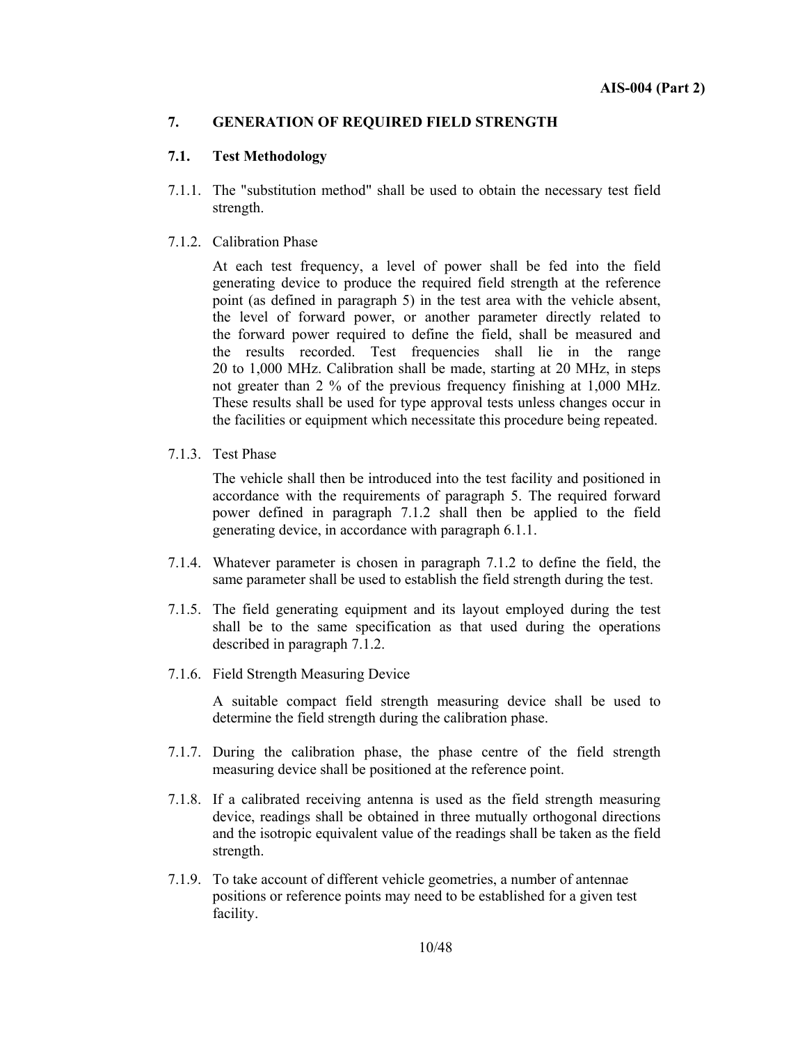#### **7. GENERATION OF REQUIRED FIELD STRENGTH**

#### **7.1. Test Methodology**

- 7.1.1. The "substitution method" shall be used to obtain the necessary test field strength.
- 7.1.2. Calibration Phase

 At each test frequency, a level of power shall be fed into the field generating device to produce the required field strength at the reference point (as defined in paragraph 5) in the test area with the vehicle absent, the level of forward power, or another parameter directly related to the forward power required to define the field, shall be measured and the results recorded. Test frequencies shall lie in the range 20 to 1,000 MHz. Calibration shall be made, starting at 20 MHz, in steps not greater than 2 % of the previous frequency finishing at 1,000 MHz. These results shall be used for type approval tests unless changes occur in the facilities or equipment which necessitate this procedure being repeated.

7.1.3. Test Phase

 The vehicle shall then be introduced into the test facility and positioned in accordance with the requirements of paragraph 5. The required forward power defined in paragraph 7.1.2 shall then be applied to the field generating device, in accordance with paragraph 6.1.1.

- 7.1.4. Whatever parameter is chosen in paragraph 7.1.2 to define the field, the same parameter shall be used to establish the field strength during the test.
- 7.1.5. The field generating equipment and its layout employed during the test shall be to the same specification as that used during the operations described in paragraph 7.1.2.
- 7.1.6. Field Strength Measuring Device

 A suitable compact field strength measuring device shall be used to determine the field strength during the calibration phase.

- 7.1.7. During the calibration phase, the phase centre of the field strength measuring device shall be positioned at the reference point.
- 7.1.8. If a calibrated receiving antenna is used as the field strength measuring device, readings shall be obtained in three mutually orthogonal directions and the isotropic equivalent value of the readings shall be taken as the field strength.
- 7.1.9. To take account of different vehicle geometries, a number of antennae positions or reference points may need to be established for a given test facility.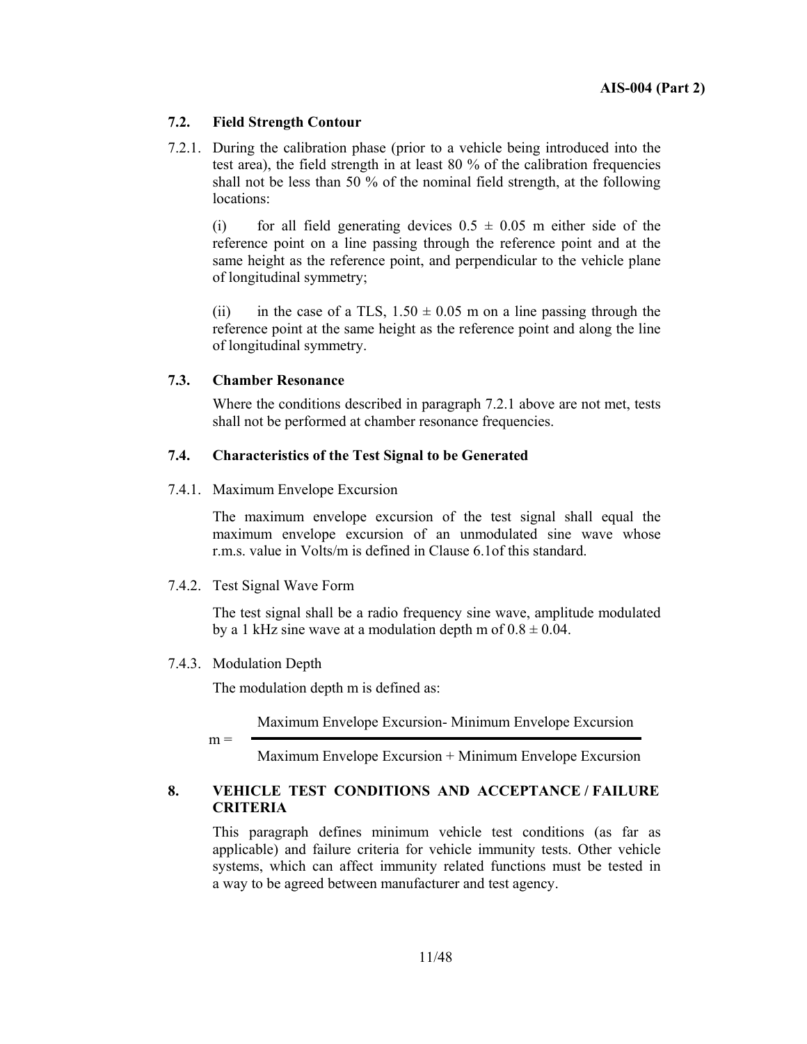#### **7.2. Field Strength Contour**

7.2.1. During the calibration phase (prior to a vehicle being introduced into the test area), the field strength in at least 80 % of the calibration frequencies shall not be less than 50 % of the nominal field strength, at the following locations:

(i) for all field generating devices  $0.5 \pm 0.05$  m either side of the reference point on a line passing through the reference point and at the same height as the reference point, and perpendicular to the vehicle plane of longitudinal symmetry;

(ii) in the case of a TLS,  $1.50 \pm 0.05$  m on a line passing through the reference point at the same height as the reference point and along the line of longitudinal symmetry.

#### **7.3. Chamber Resonance**

 Where the conditions described in paragraph 7.2.1 above are not met, tests shall not be performed at chamber resonance frequencies.

#### **7.4. Characteristics of the Test Signal to be Generated**

7.4.1. Maximum Envelope Excursion

 The maximum envelope excursion of the test signal shall equal the maximum envelope excursion of an unmodulated sine wave whose r.m.s. value in Volts/m is defined in Clause 6.1of this standard.

#### 7.4.2. Test Signal Wave Form

 The test signal shall be a radio frequency sine wave, amplitude modulated by a 1 kHz sine wave at a modulation depth m of  $0.8 \pm 0.04$ .

7.4.3. Modulation Depth

The modulation depth m is defined as:

Maximum Envelope Excursion- Minimum Envelope Excursion

 $m =$ 

Maximum Envelope Excursion + Minimum Envelope Excursion

#### **8. VEHICLE TEST CONDITIONS AND ACCEPTANCE / FAILURE CRITERIA**

This paragraph defines minimum vehicle test conditions (as far as applicable) and failure criteria for vehicle immunity tests. Other vehicle systems, which can affect immunity related functions must be tested in a way to be agreed between manufacturer and test agency.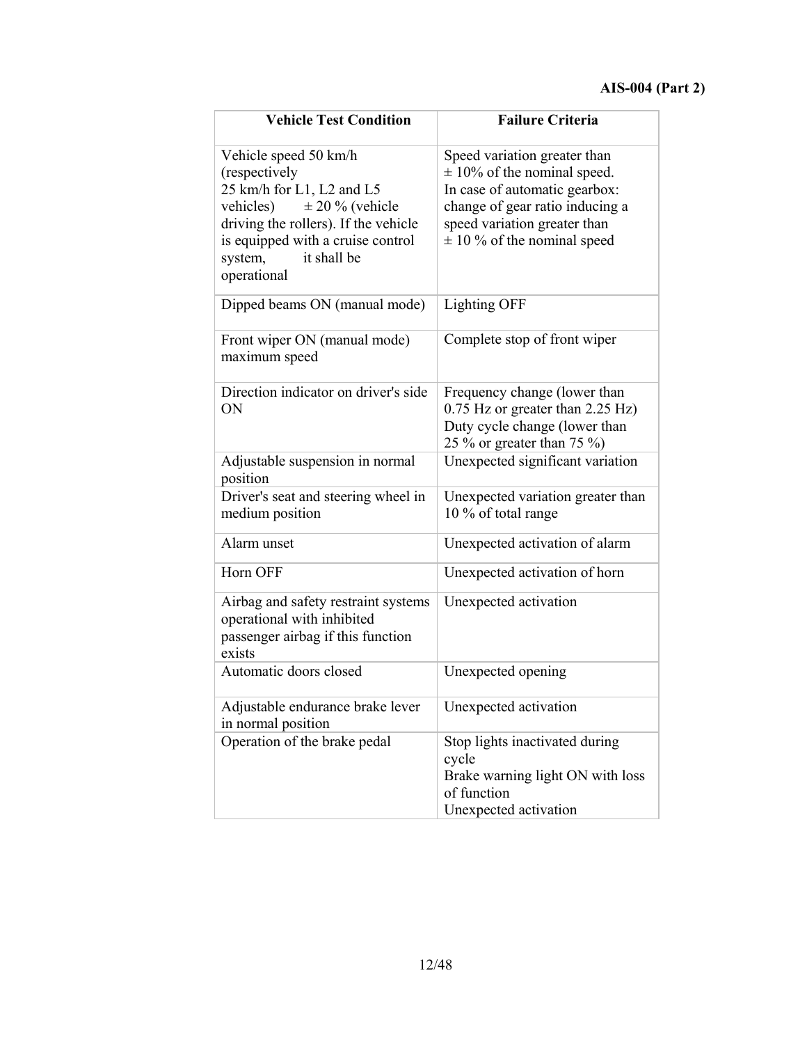| <b>Vehicle Test Condition</b>                                                                                                                                                                                               | <b>Failure Criteria</b>                                                                                                                                                                                |
|-----------------------------------------------------------------------------------------------------------------------------------------------------------------------------------------------------------------------------|--------------------------------------------------------------------------------------------------------------------------------------------------------------------------------------------------------|
| Vehicle speed 50 km/h<br>(respectively<br>25 km/h for L1, L2 and L5<br>vehicles) $\pm 20 \%$ (vehicle<br>driving the rollers). If the vehicle<br>is equipped with a cruise control<br>system,<br>it shall be<br>operational | Speed variation greater than<br>$\pm$ 10% of the nominal speed.<br>In case of automatic gearbox:<br>change of gear ratio inducing a<br>speed variation greater than<br>$\pm$ 10 % of the nominal speed |
| Dipped beams ON (manual mode)                                                                                                                                                                                               | <b>Lighting OFF</b>                                                                                                                                                                                    |
| Front wiper ON (manual mode)<br>maximum speed                                                                                                                                                                               | Complete stop of front wiper                                                                                                                                                                           |
| Direction indicator on driver's side<br>ON                                                                                                                                                                                  | Frequency change (lower than<br>0.75 Hz or greater than 2.25 Hz)<br>Duty cycle change (lower than<br>25 % or greater than 75 %)                                                                        |
| Adjustable suspension in normal<br>position                                                                                                                                                                                 | Unexpected significant variation                                                                                                                                                                       |
| Driver's seat and steering wheel in<br>medium position                                                                                                                                                                      | Unexpected variation greater than<br>10 % of total range                                                                                                                                               |
| Alarm unset                                                                                                                                                                                                                 | Unexpected activation of alarm                                                                                                                                                                         |
| Horn OFF                                                                                                                                                                                                                    | Unexpected activation of horn                                                                                                                                                                          |
| Airbag and safety restraint systems<br>operational with inhibited<br>passenger airbag if this function<br>exists                                                                                                            | Unexpected activation                                                                                                                                                                                  |
| Automatic doors closed                                                                                                                                                                                                      | Unexpected opening                                                                                                                                                                                     |
| Adjustable endurance brake lever<br>in normal position                                                                                                                                                                      | Unexpected activation                                                                                                                                                                                  |
| Operation of the brake pedal                                                                                                                                                                                                | Stop lights inactivated during<br>cycle<br>Brake warning light ON with loss<br>of function<br>Unexpected activation                                                                                    |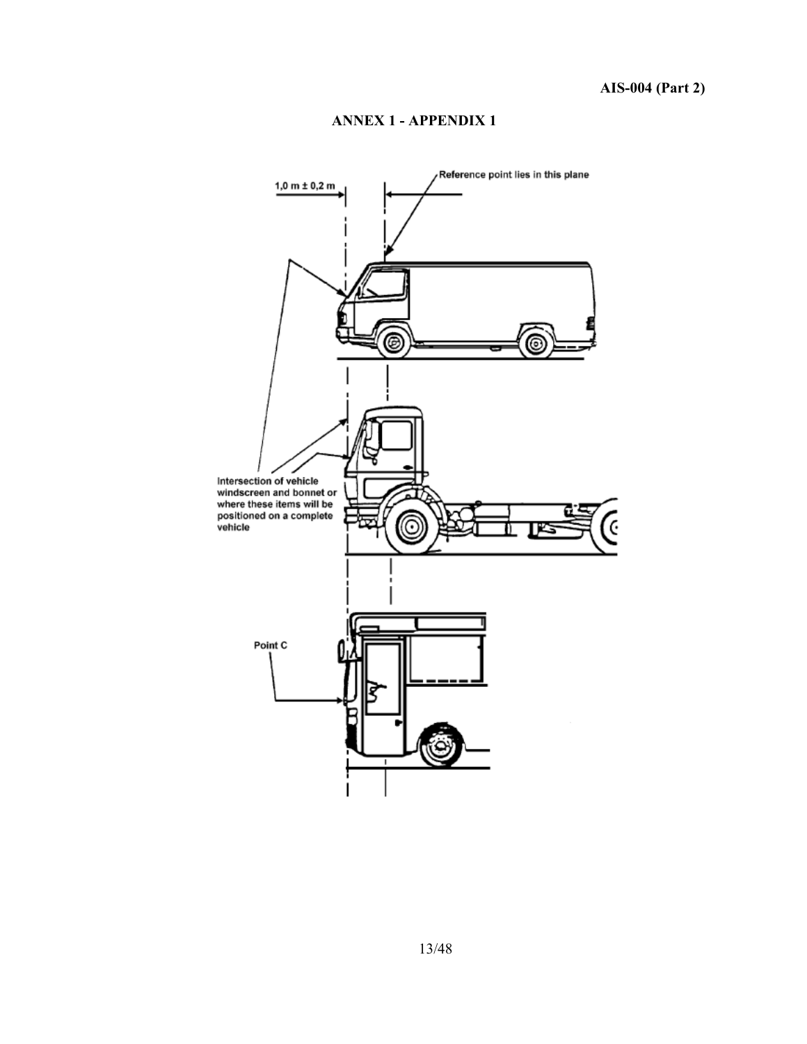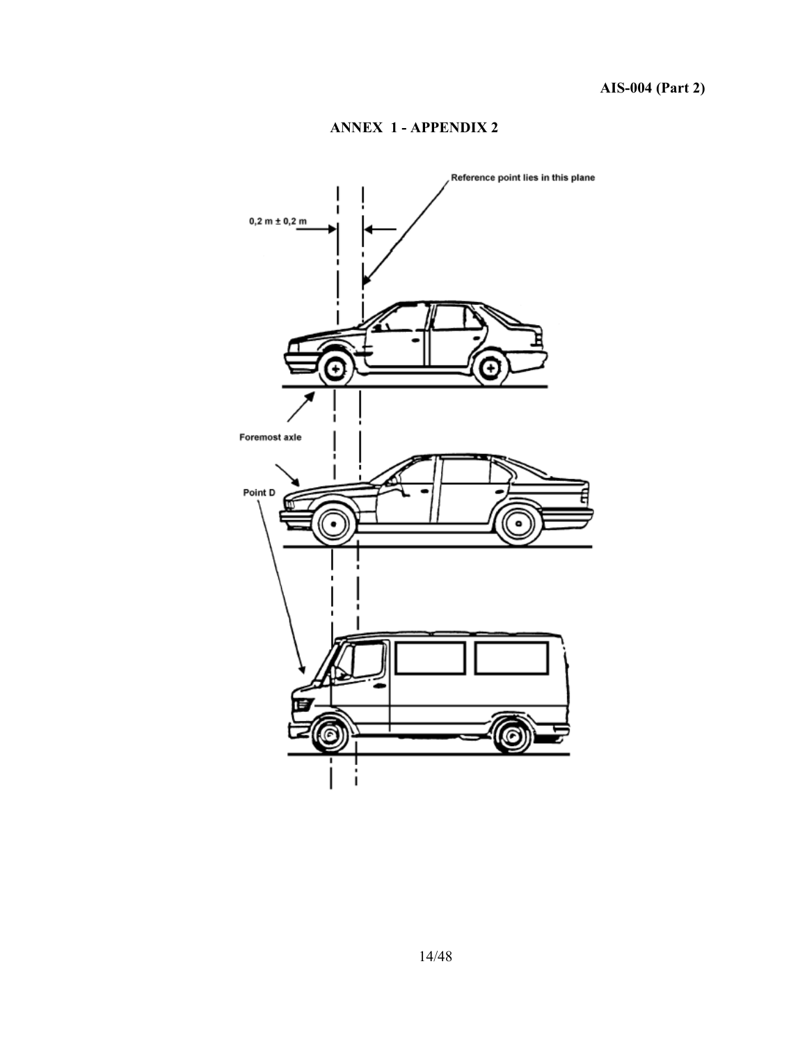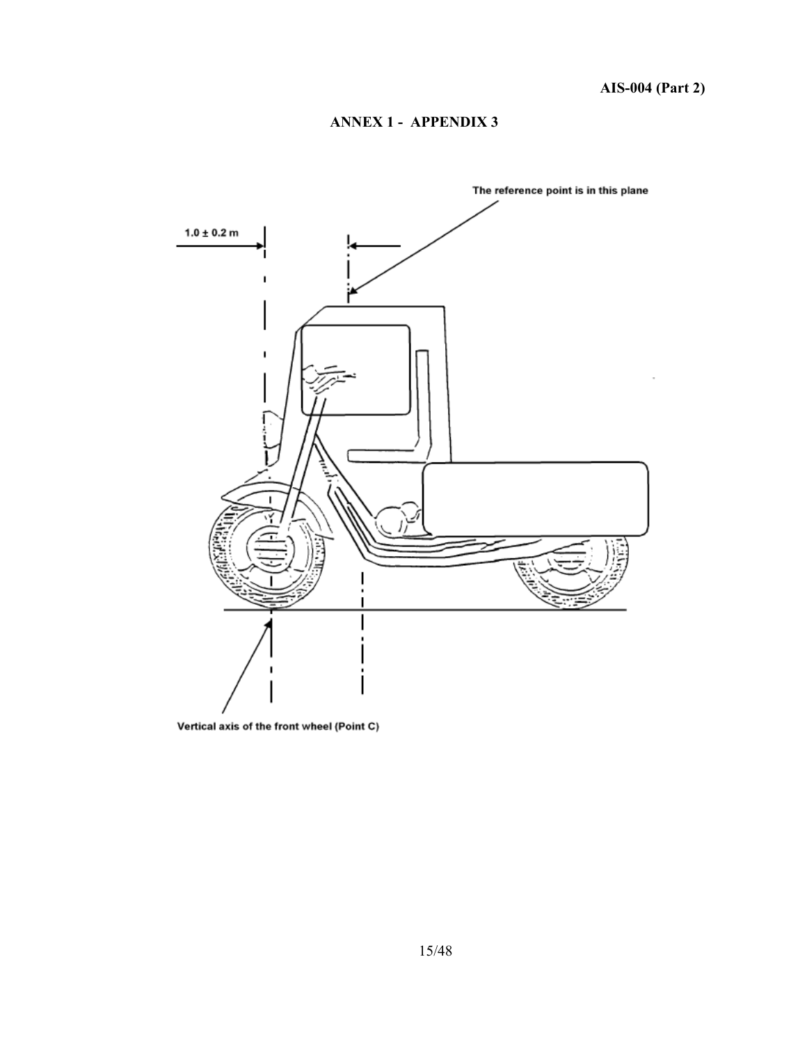

Vertical axis of the front wheel (Point C)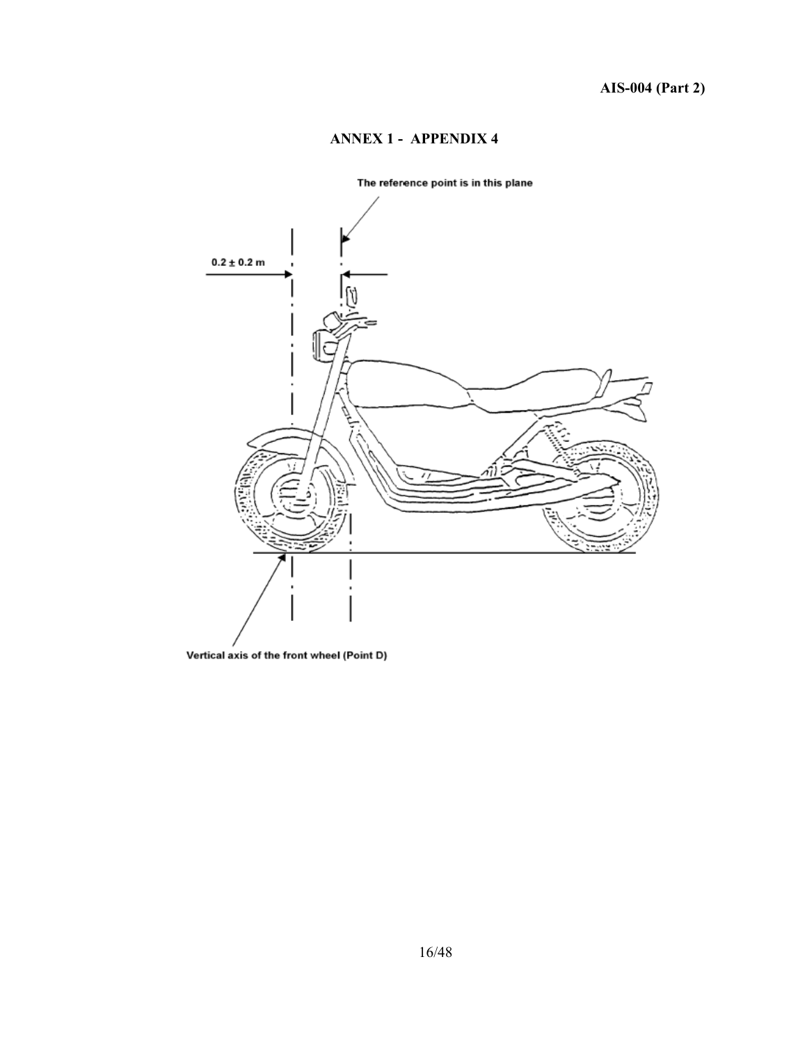

#### The reference point is in this plane

Vertical axis of the front wheel (Point D)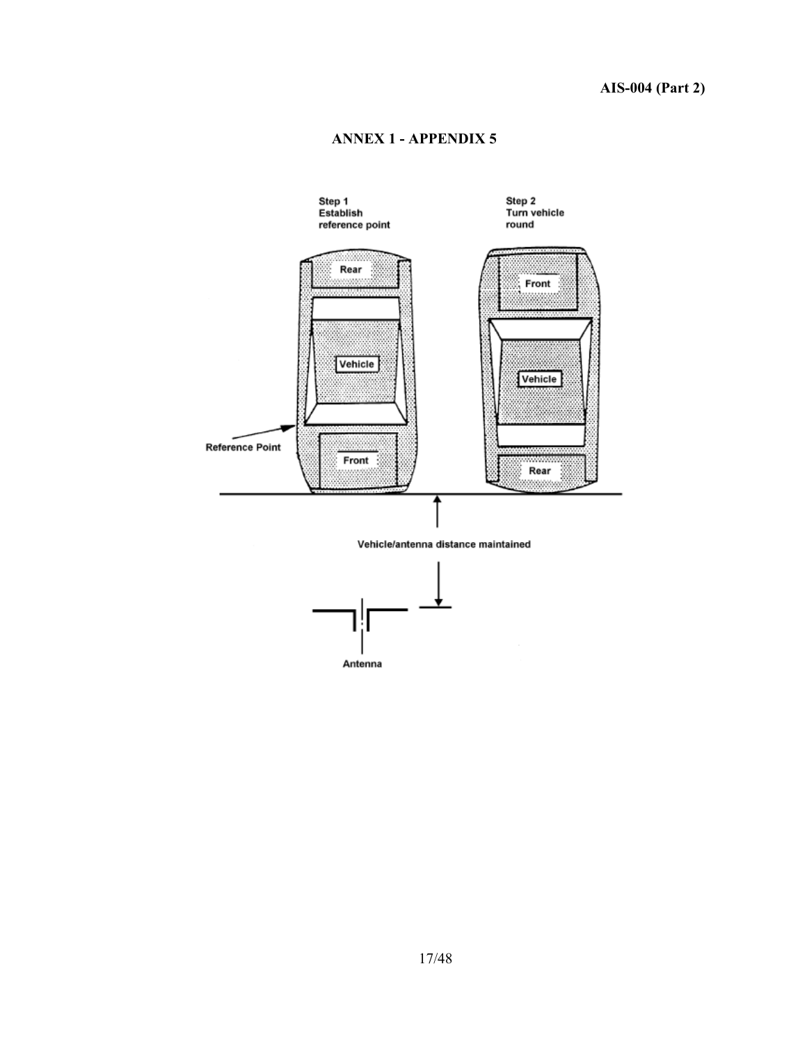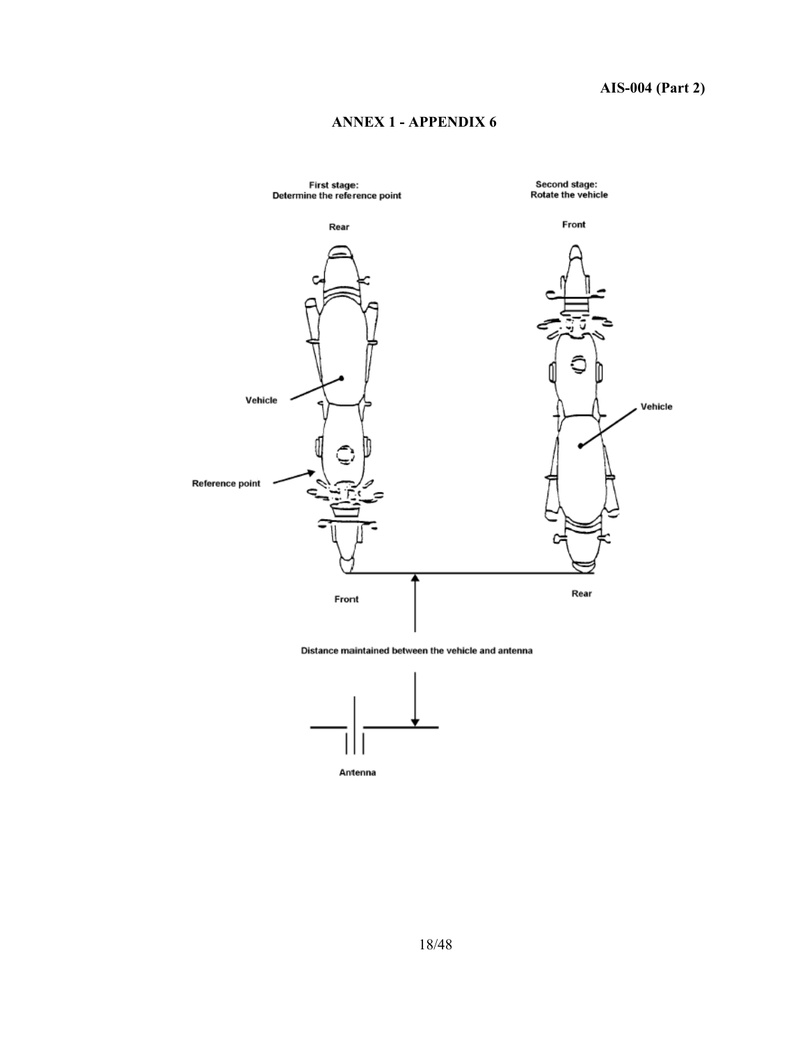



Distance maintained between the vehicle and antenna



Antenna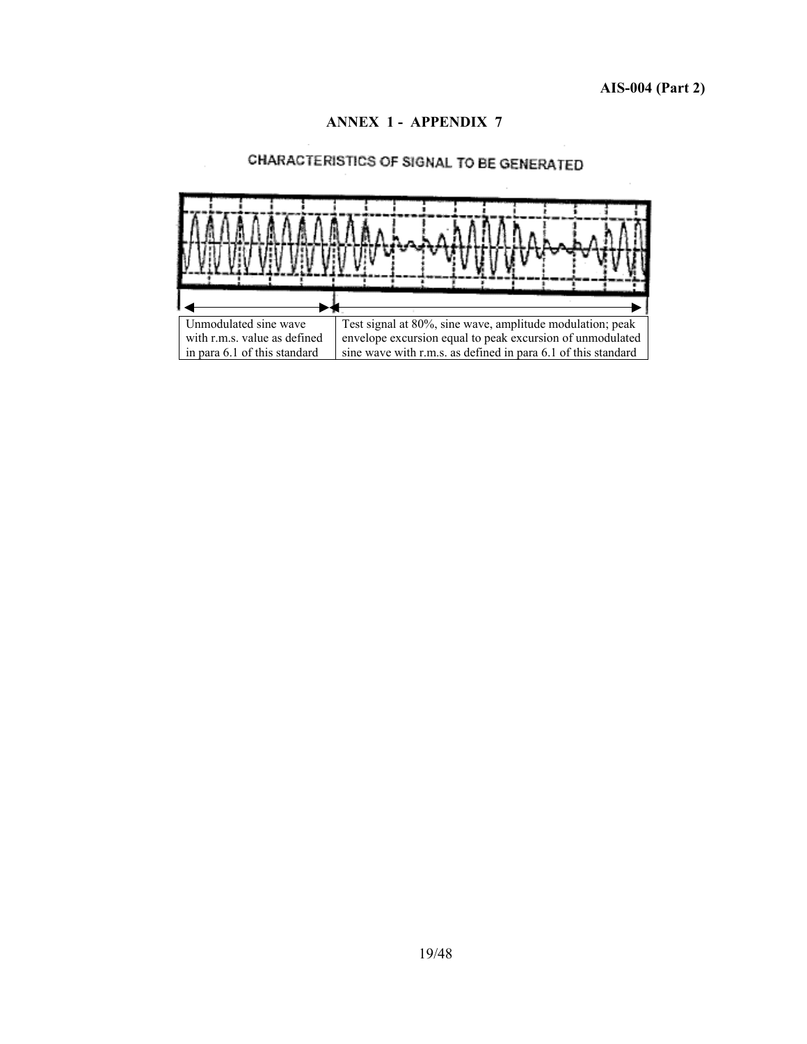

## CHARACTERISTICS OF SIGNAL TO BE GENERATED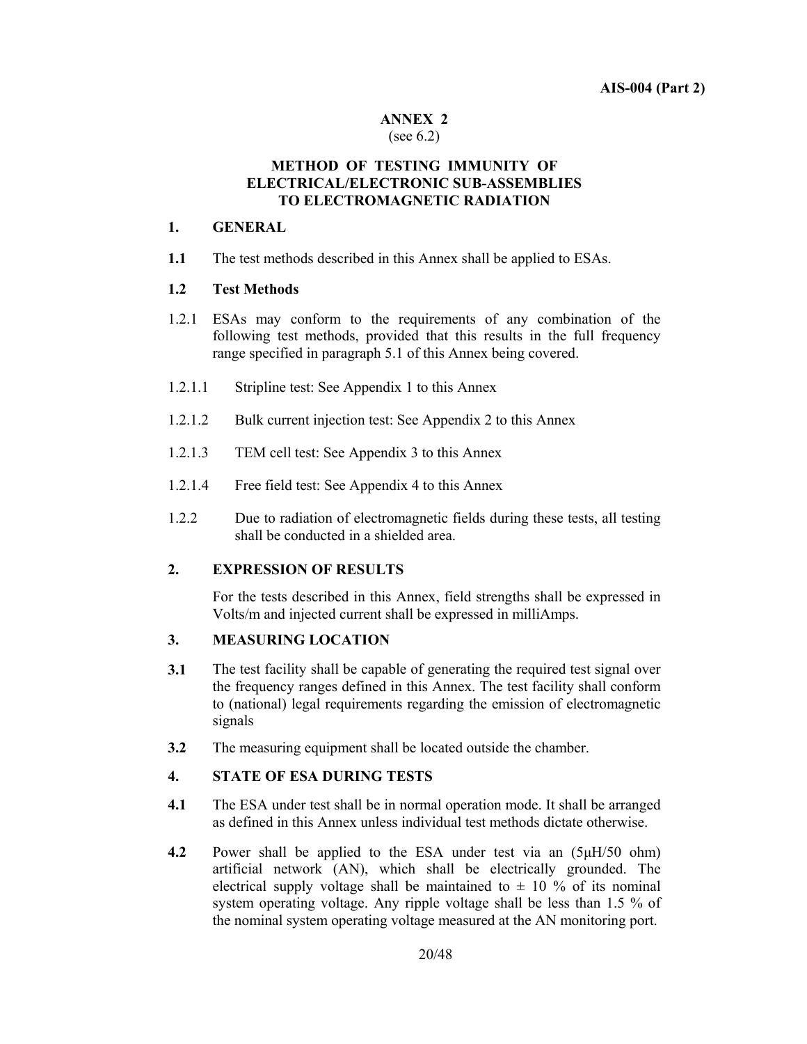#### **ANNEX 2**  (see 6.2)

#### **METHOD OF TESTING IMMUNITY OF ELECTRICAL/ELECTRONIC SUB-ASSEMBLIES TO ELECTROMAGNETIC RADIATION**

#### **1. GENERAL**

**1.1** The test methods described in this Annex shall be applied to ESAs.

#### **1.2 Test Methods**

- 1.2.1 ESAs may conform to the requirements of any combination of the following test methods, provided that this results in the full frequency range specified in paragraph 5.1 of this Annex being covered.
- 1.2.1.1 Stripline test: See Appendix 1 to this Annex
- 1.2.1.2 Bulk current injection test: See Appendix 2 to this Annex
- 1.2.1.3 TEM cell test: See Appendix 3 to this Annex
- 1.2.1.4 Free field test: See Appendix 4 to this Annex
- 1.2.2 Due to radiation of electromagnetic fields during these tests, all testing shall be conducted in a shielded area.

#### **2. EXPRESSION OF RESULTS**

 For the tests described in this Annex, field strengths shall be expressed in Volts/m and injected current shall be expressed in milliAmps.

#### **3. MEASURING LOCATION**

- **3.1** The test facility shall be capable of generating the required test signal over the frequency ranges defined in this Annex. The test facility shall conform to (national) legal requirements regarding the emission of electromagnetic signals
- **3.2** The measuring equipment shall be located outside the chamber.

#### **4. STATE OF ESA DURING TESTS**

- **4.1** The ESA under test shall be in normal operation mode. It shall be arranged as defined in this Annex unless individual test methods dictate otherwise.
- **4.2** Power shall be applied to the ESA under test via an (5µH/50 ohm) artificial network (AN), which shall be electrically grounded. The electrical supply voltage shall be maintained to  $\pm$  10 % of its nominal system operating voltage. Any ripple voltage shall be less than 1.5 % of the nominal system operating voltage measured at the AN monitoring port.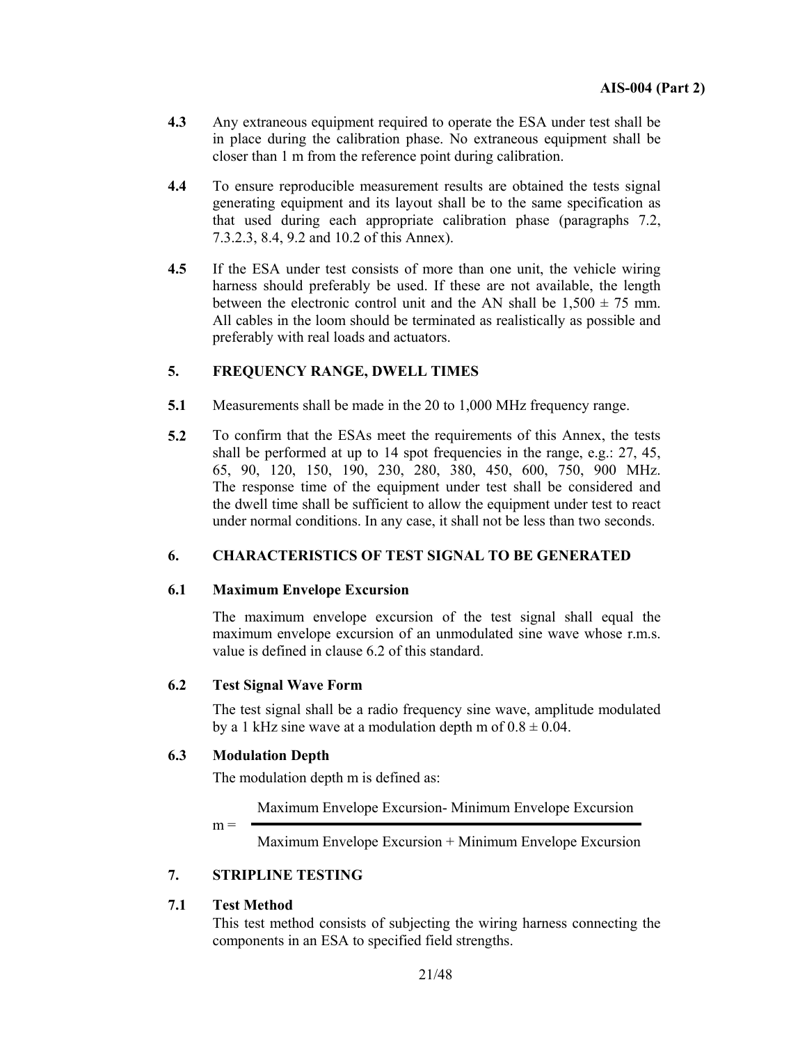- **4.3** Any extraneous equipment required to operate the ESA under test shall be in place during the calibration phase. No extraneous equipment shall be closer than 1 m from the reference point during calibration.
- **4.4** To ensure reproducible measurement results are obtained the tests signal generating equipment and its layout shall be to the same specification as that used during each appropriate calibration phase (paragraphs 7.2, 7.3.2.3, 8.4, 9.2 and 10.2 of this Annex).
- **4.5** If the ESA under test consists of more than one unit, the vehicle wiring harness should preferably be used. If these are not available, the length between the electronic control unit and the AN shall be  $1,500 \pm 75$  mm. All cables in the loom should be terminated as realistically as possible and preferably with real loads and actuators.

## **5. FREQUENCY RANGE, DWELL TIMES**

- **5.1** Measurements shall be made in the 20 to 1,000 MHz frequency range.
- **5.2** To confirm that the ESAs meet the requirements of this Annex, the tests shall be performed at up to 14 spot frequencies in the range, e.g.: 27, 45, 65, 90, 120, 150, 190, 230, 280, 380, 450, 600, 750, 900 MHz. The response time of the equipment under test shall be considered and the dwell time shall be sufficient to allow the equipment under test to react under normal conditions. In any case, it shall not be less than two seconds.

## **6. CHARACTERISTICS OF TEST SIGNAL TO BE GENERATED**

#### **6.1 Maximum Envelope Excursion**

 The maximum envelope excursion of the test signal shall equal the maximum envelope excursion of an unmodulated sine wave whose r.m.s. value is defined in clause 6.2 of this standard.

#### **6.2 Test Signal Wave Form**

 The test signal shall be a radio frequency sine wave, amplitude modulated by a 1 kHz sine wave at a modulation depth m of  $0.8 \pm 0.04$ .

#### **6.3 Modulation Depth**

The modulation depth m is defined as:

Maximum Envelope Excursion- Minimum Envelope Excursion

 $m =$ 

Maximum Envelope Excursion + Minimum Envelope Excursion

#### **7. STRIPLINE TESTING**

#### **7.1 Test Method**

 This test method consists of subjecting the wiring harness connecting the components in an ESA to specified field strengths.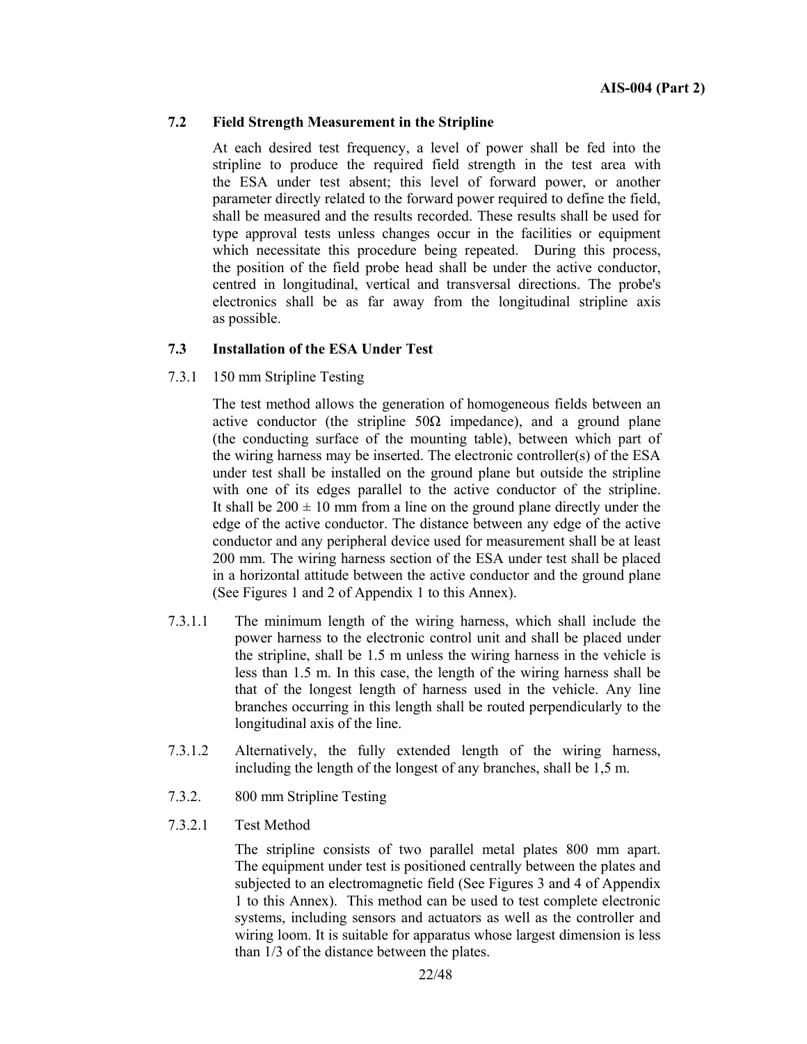#### **7.2 Field Strength Measurement in the Stripline**

 At each desired test frequency, a level of power shall be fed into the stripline to produce the required field strength in the test area with the ESA under test absent; this level of forward power, or another parameter directly related to the forward power required to define the field, shall be measured and the results recorded. These results shall be used for type approval tests unless changes occur in the facilities or equipment which necessitate this procedure being repeated. During this process, the position of the field probe head shall be under the active conductor, centred in longitudinal, vertical and transversal directions. The probe's electronics shall be as far away from the longitudinal stripline axis as possible.

#### **7.3 Installation of the ESA Under Test**

7.3.1 150 mm Stripline Testing

 The test method allows the generation of homogeneous fields between an active conductor (the stripline  $50\Omega$  impedance), and a ground plane (the conducting surface of the mounting table), between which part of the wiring harness may be inserted. The electronic controller(s) of the ESA under test shall be installed on the ground plane but outside the stripline with one of its edges parallel to the active conductor of the stripline. It shall be  $200 \pm 10$  mm from a line on the ground plane directly under the edge of the active conductor. The distance between any edge of the active conductor and any peripheral device used for measurement shall be at least 200 mm. The wiring harness section of the ESA under test shall be placed in a horizontal attitude between the active conductor and the ground plane (See Figures 1 and 2 of Appendix 1 to this Annex).

- 7.3.1.1 The minimum length of the wiring harness, which shall include the power harness to the electronic control unit and shall be placed under the stripline, shall be 1.5 m unless the wiring harness in the vehicle is less than 1.5 m. In this case, the length of the wiring harness shall be that of the longest length of harness used in the vehicle. Any line branches occurring in this length shall be routed perpendicularly to the longitudinal axis of the line.
- 7.3.1.2 Alternatively, the fully extended length of the wiring harness, including the length of the longest of any branches, shall be 1,5 m.
- 7.3.2. 800 mm Stripline Testing
- 7.3.2.1 Test Method

 The stripline consists of two parallel metal plates 800 mm apart. The equipment under test is positioned centrally between the plates and subjected to an electromagnetic field (See Figures 3 and 4 of Appendix 1 to this Annex). This method can be used to test complete electronic systems, including sensors and actuators as well as the controller and wiring loom. It is suitable for apparatus whose largest dimension is less than 1/3 of the distance between the plates.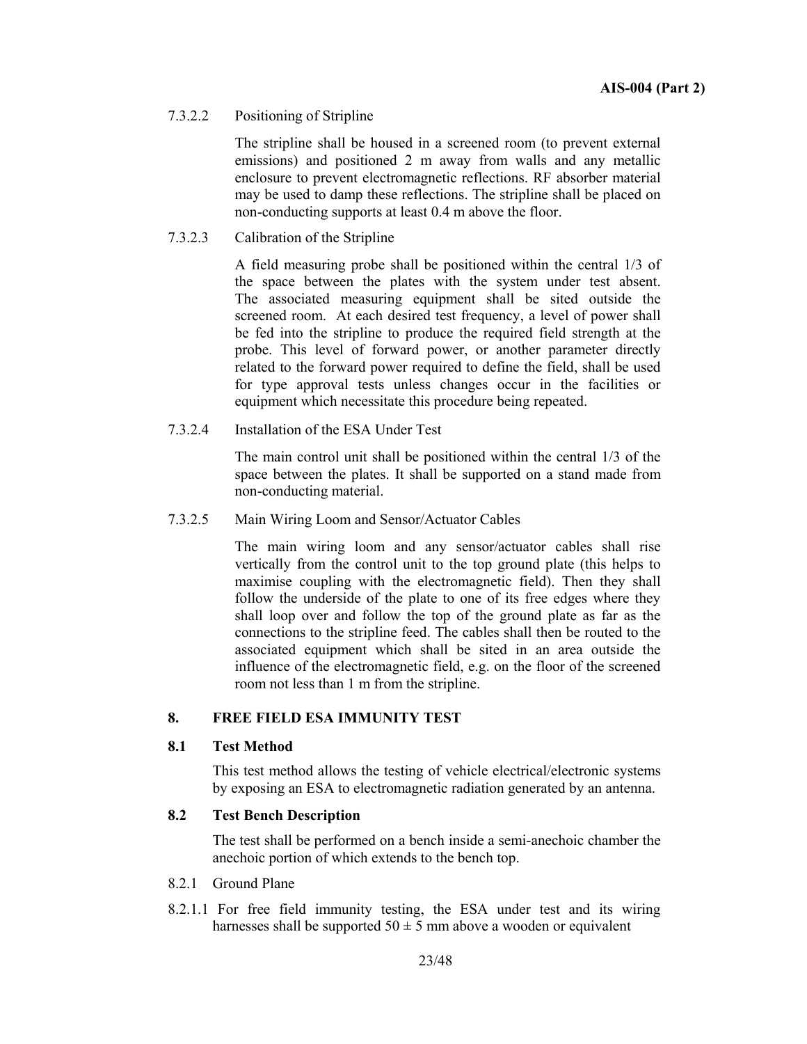#### 7.3.2.2 Positioning of Stripline

 The stripline shall be housed in a screened room (to prevent external emissions) and positioned 2 m away from walls and any metallic enclosure to prevent electromagnetic reflections. RF absorber material may be used to damp these reflections. The stripline shall be placed on non-conducting supports at least 0.4 m above the floor.

#### 7.3.2.3 Calibration of the Stripline

 A field measuring probe shall be positioned within the central 1/3 of the space between the plates with the system under test absent. The associated measuring equipment shall be sited outside the screened room. At each desired test frequency, a level of power shall be fed into the stripline to produce the required field strength at the probe. This level of forward power, or another parameter directly related to the forward power required to define the field, shall be used for type approval tests unless changes occur in the facilities or equipment which necessitate this procedure being repeated.

7.3.2.4 Installation of the ESA Under Test

 The main control unit shall be positioned within the central 1/3 of the space between the plates. It shall be supported on a stand made from non-conducting material.

7.3.2.5 Main Wiring Loom and Sensor/Actuator Cables

 The main wiring loom and any sensor/actuator cables shall rise vertically from the control unit to the top ground plate (this helps to maximise coupling with the electromagnetic field). Then they shall follow the underside of the plate to one of its free edges where they shall loop over and follow the top of the ground plate as far as the connections to the stripline feed. The cables shall then be routed to the associated equipment which shall be sited in an area outside the influence of the electromagnetic field, e.g. on the floor of the screened room not less than 1 m from the stripline.

#### **8. FREE FIELD ESA IMMUNITY TEST**

#### **8.1 Test Method**

 This test method allows the testing of vehicle electrical/electronic systems by exposing an ESA to electromagnetic radiation generated by an antenna.

#### **8.2 Test Bench Description**

 The test shall be performed on a bench inside a semi-anechoic chamber the anechoic portion of which extends to the bench top.

- 8.2.1 Ground Plane
- 8.2.1.1 For free field immunity testing, the ESA under test and its wiring harnesses shall be supported  $50 \pm 5$  mm above a wooden or equivalent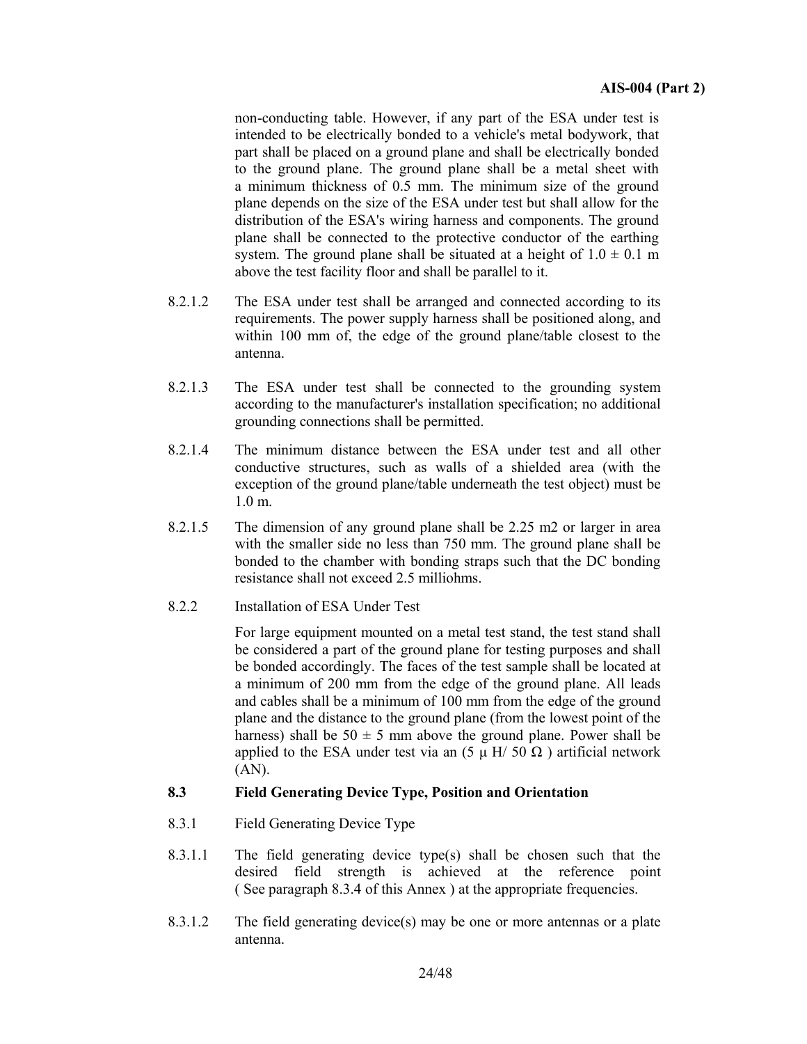non-conducting table. However, if any part of the ESA under test is intended to be electrically bonded to a vehicle's metal bodywork, that part shall be placed on a ground plane and shall be electrically bonded to the ground plane. The ground plane shall be a metal sheet with a minimum thickness of 0.5 mm. The minimum size of the ground plane depends on the size of the ESA under test but shall allow for the distribution of the ESA's wiring harness and components. The ground plane shall be connected to the protective conductor of the earthing system. The ground plane shall be situated at a height of  $1.0 \pm 0.1$  m above the test facility floor and shall be parallel to it.

- 8.2.1.2 The ESA under test shall be arranged and connected according to its requirements. The power supply harness shall be positioned along, and within 100 mm of, the edge of the ground plane/table closest to the antenna.
- 8.2.1.3 The ESA under test shall be connected to the grounding system according to the manufacturer's installation specification; no additional grounding connections shall be permitted.
- 8.2.1.4 The minimum distance between the ESA under test and all other conductive structures, such as walls of a shielded area (with the exception of the ground plane/table underneath the test object) must be 1.0 m.
- 8.2.1.5 The dimension of any ground plane shall be 2.25 m2 or larger in area with the smaller side no less than 750 mm. The ground plane shall be bonded to the chamber with bonding straps such that the DC bonding resistance shall not exceed 2.5 milliohms.
- 8.2.2 Installation of ESA Under Test

 For large equipment mounted on a metal test stand, the test stand shall be considered a part of the ground plane for testing purposes and shall be bonded accordingly. The faces of the test sample shall be located at a minimum of 200 mm from the edge of the ground plane. All leads and cables shall be a minimum of 100 mm from the edge of the ground plane and the distance to the ground plane (from the lowest point of the harness) shall be  $50 \pm 5$  mm above the ground plane. Power shall be applied to the ESA under test via an  $(5 \mu H / 50 \Omega)$  artificial network (AN).

#### **8.3 Field Generating Device Type, Position and Orientation**

- 8.3.1 Field Generating Device Type
- 8.3.1.1 The field generating device type(s) shall be chosen such that the desired field strength is achieved at the reference point ( See paragraph 8.3.4 of this Annex ) at the appropriate frequencies.
- 8.3.1.2 The field generating device(s) may be one or more antennas or a plate antenna.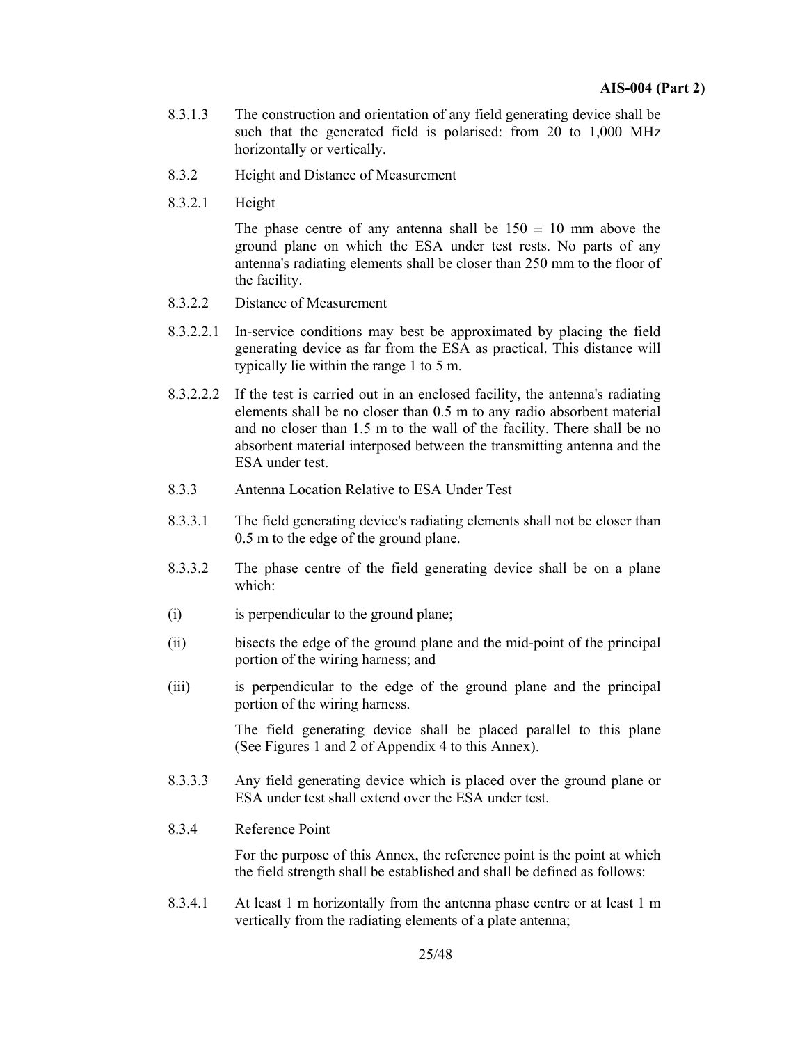- 8.3.1.3 The construction and orientation of any field generating device shall be such that the generated field is polarised: from 20 to 1,000 MHz horizontally or vertically.
- 8.3.2 Height and Distance of Measurement
- 8.3.2.1 Height

The phase centre of any antenna shall be  $150 \pm 10$  mm above the ground plane on which the ESA under test rests. No parts of any antenna's radiating elements shall be closer than 250 mm to the floor of the facility.

- 8.3.2.2 Distance of Measurement
- 8.3.2.2.1 In-service conditions may best be approximated by placing the field generating device as far from the ESA as practical. This distance will typically lie within the range 1 to 5 m.
- 8.3.2.2.2 If the test is carried out in an enclosed facility, the antenna's radiating elements shall be no closer than 0.5 m to any radio absorbent material and no closer than 1.5 m to the wall of the facility. There shall be no absorbent material interposed between the transmitting antenna and the ESA under test.
- 8.3.3 Antenna Location Relative to ESA Under Test
- 8.3.3.1 The field generating device's radiating elements shall not be closer than 0.5 m to the edge of the ground plane.
- 8.3.3.2 The phase centre of the field generating device shall be on a plane which:
- (i) is perpendicular to the ground plane;
- (ii) bisects the edge of the ground plane and the mid-point of the principal portion of the wiring harness; and
- (iii) is perpendicular to the edge of the ground plane and the principal portion of the wiring harness.

 The field generating device shall be placed parallel to this plane (See Figures 1 and 2 of Appendix 4 to this Annex).

- 8.3.3.3 Any field generating device which is placed over the ground plane or ESA under test shall extend over the ESA under test.
- 8.3.4 Reference Point

 For the purpose of this Annex, the reference point is the point at which the field strength shall be established and shall be defined as follows:

8.3.4.1 At least 1 m horizontally from the antenna phase centre or at least 1 m vertically from the radiating elements of a plate antenna;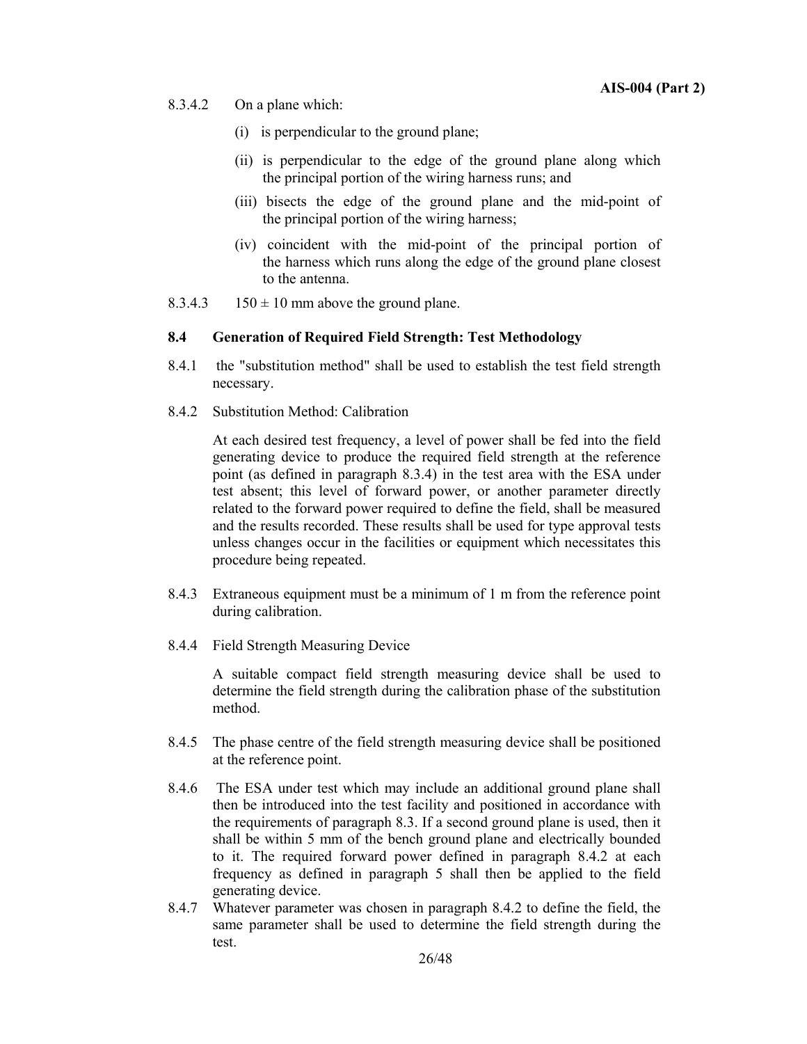- 8.3.4.2 On a plane which:
	- (i) is perpendicular to the ground plane;
	- (ii) is perpendicular to the edge of the ground plane along which the principal portion of the wiring harness runs; and
	- (iii) bisects the edge of the ground plane and the mid-point of the principal portion of the wiring harness;
	- (iv) coincident with the mid-point of the principal portion of the harness which runs along the edge of the ground plane closest to the antenna.
- 8.3.4.3 150  $\pm$  10 mm above the ground plane.

#### **8.4 Generation of Required Field Strength: Test Methodology**

- 8.4.1 the "substitution method" shall be used to establish the test field strength necessary.
- 8.4.2 Substitution Method: Calibration

 At each desired test frequency, a level of power shall be fed into the field generating device to produce the required field strength at the reference point (as defined in paragraph 8.3.4) in the test area with the ESA under test absent; this level of forward power, or another parameter directly related to the forward power required to define the field, shall be measured and the results recorded. These results shall be used for type approval tests unless changes occur in the facilities or equipment which necessitates this procedure being repeated.

- 8.4.3 Extraneous equipment must be a minimum of 1 m from the reference point during calibration.
- 8.4.4 Field Strength Measuring Device

 A suitable compact field strength measuring device shall be used to determine the field strength during the calibration phase of the substitution method.

- 8.4.5 The phase centre of the field strength measuring device shall be positioned at the reference point.
- 8.4.6 The ESA under test which may include an additional ground plane shall then be introduced into the test facility and positioned in accordance with the requirements of paragraph 8.3. If a second ground plane is used, then it shall be within 5 mm of the bench ground plane and electrically bounded to it. The required forward power defined in paragraph 8.4.2 at each frequency as defined in paragraph 5 shall then be applied to the field generating device.
- 8.4.7 Whatever parameter was chosen in paragraph 8.4.2 to define the field, the same parameter shall be used to determine the field strength during the test.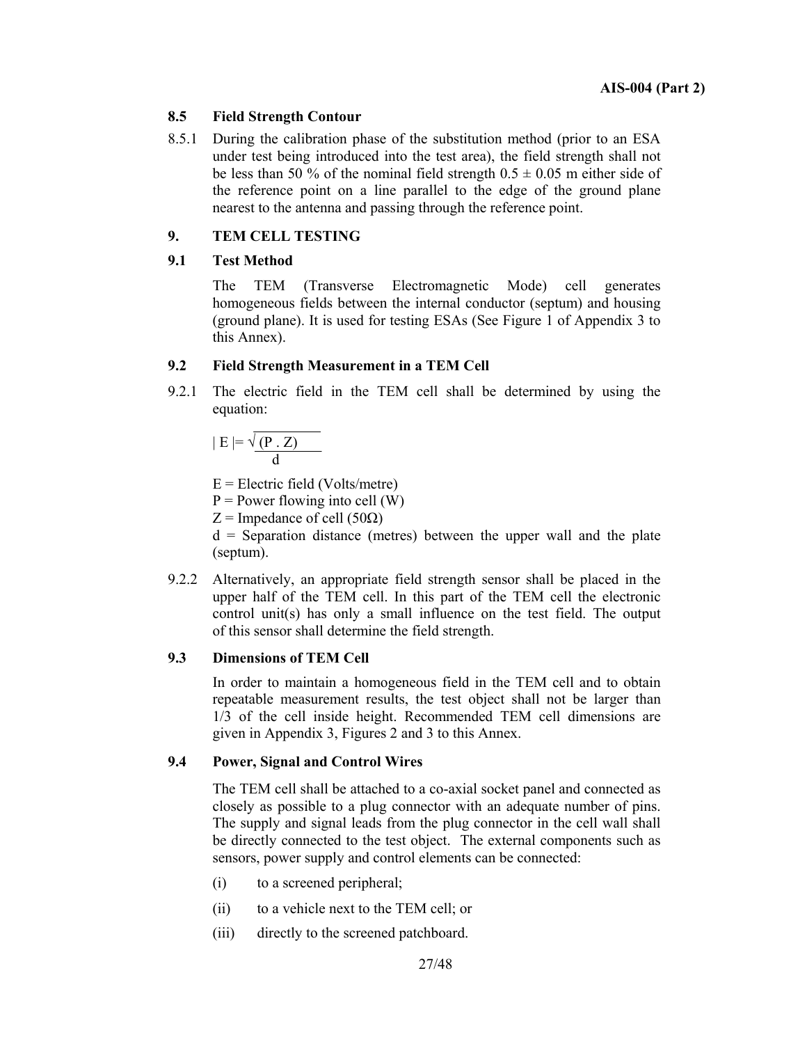#### **8.5 Field Strength Contour**

8.5.1 During the calibration phase of the substitution method (prior to an ESA under test being introduced into the test area), the field strength shall not be less than 50 % of the nominal field strength  $0.5 \pm 0.05$  m either side of the reference point on a line parallel to the edge of the ground plane nearest to the antenna and passing through the reference point.

#### **9. TEM CELL TESTING**

#### **9.1 Test Method**

 The TEM (Transverse Electromagnetic Mode) cell generates homogeneous fields between the internal conductor (septum) and housing (ground plane). It is used for testing ESAs (See Figure 1 of Appendix 3 to this Annex).

#### **9.2 Field Strength Measurement in a TEM Cell**

9.2.1 The electric field in the TEM cell shall be determined by using the equation:

$$
|E| = \sqrt{\frac{(P \cdot Z)}{d}}
$$

 $E =$  Electric field (Volts/metre)

 $P = Power$  flowing into cell (W)

 $Z =$  Impedance of cell (50 $\Omega$ )

 $d =$  Separation distance (metres) between the upper wall and the plate (septum).

9.2.2 Alternatively, an appropriate field strength sensor shall be placed in the upper half of the TEM cell. In this part of the TEM cell the electronic control unit(s) has only a small influence on the test field. The output of this sensor shall determine the field strength.

#### **9.3 Dimensions of TEM Cell**

 In order to maintain a homogeneous field in the TEM cell and to obtain repeatable measurement results, the test object shall not be larger than 1/3 of the cell inside height. Recommended TEM cell dimensions are given in Appendix 3, Figures 2 and 3 to this Annex.

#### **9.4 Power, Signal and Control Wires**

 The TEM cell shall be attached to a co-axial socket panel and connected as closely as possible to a plug connector with an adequate number of pins. The supply and signal leads from the plug connector in the cell wall shall be directly connected to the test object. The external components such as sensors, power supply and control elements can be connected:

- (i) to a screened peripheral;
- (ii) to a vehicle next to the TEM cell; or
- (iii) directly to the screened patchboard.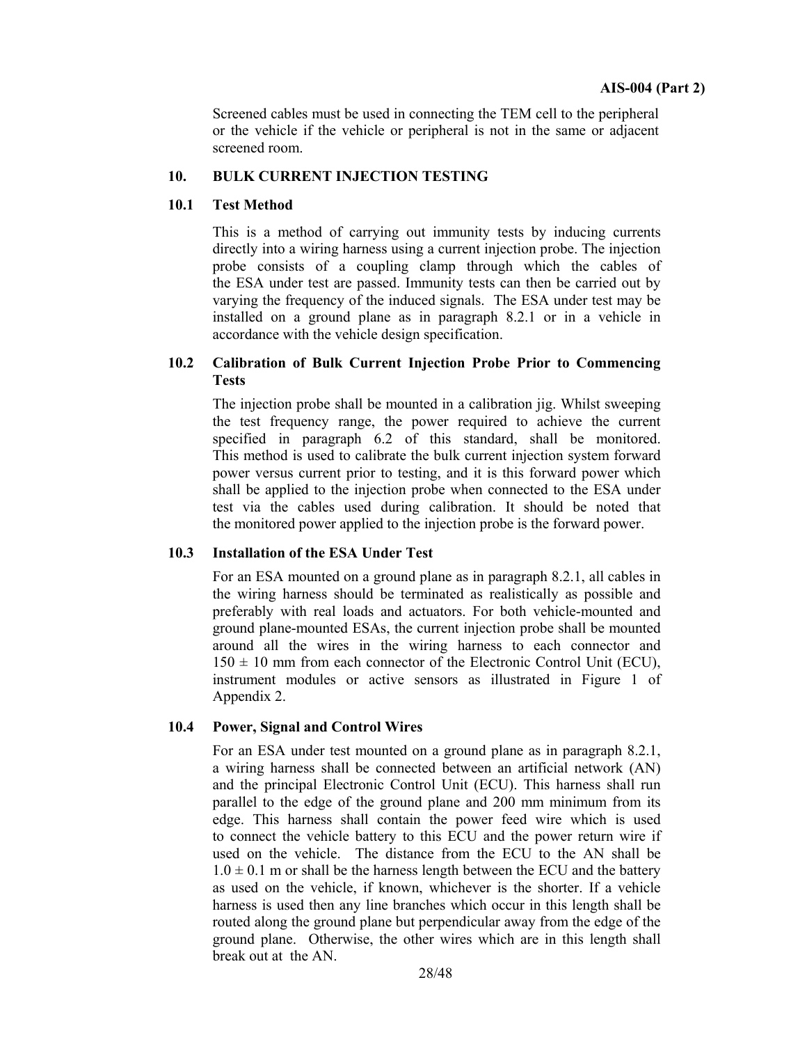Screened cables must be used in connecting the TEM cell to the peripheral or the vehicle if the vehicle or peripheral is not in the same or adjacent screened room.

#### **10. BULK CURRENT INJECTION TESTING**

#### **10.1 Test Method**

 This is a method of carrying out immunity tests by inducing currents directly into a wiring harness using a current injection probe. The injection probe consists of a coupling clamp through which the cables of the ESA under test are passed. Immunity tests can then be carried out by varying the frequency of the induced signals. The ESA under test may be installed on a ground plane as in paragraph 8.2.1 or in a vehicle in accordance with the vehicle design specification.

## **10.2 Calibration of Bulk Current Injection Probe Prior to Commencing Tests**

 The injection probe shall be mounted in a calibration jig. Whilst sweeping the test frequency range, the power required to achieve the current specified in paragraph 6.2 of this standard, shall be monitored. This method is used to calibrate the bulk current injection system forward power versus current prior to testing, and it is this forward power which shall be applied to the injection probe when connected to the ESA under test via the cables used during calibration. It should be noted that the monitored power applied to the injection probe is the forward power.

#### **10.3 Installation of the ESA Under Test**

 For an ESA mounted on a ground plane as in paragraph 8.2.1, all cables in the wiring harness should be terminated as realistically as possible and preferably with real loads and actuators. For both vehicle-mounted and ground plane-mounted ESAs, the current injection probe shall be mounted around all the wires in the wiring harness to each connector and  $150 \pm 10$  mm from each connector of the Electronic Control Unit (ECU), instrument modules or active sensors as illustrated in Figure 1 of Appendix 2.

#### **10.4 Power, Signal and Control Wires**

 For an ESA under test mounted on a ground plane as in paragraph 8.2.1, a wiring harness shall be connected between an artificial network (AN) and the principal Electronic Control Unit (ECU). This harness shall run parallel to the edge of the ground plane and 200 mm minimum from its edge. This harness shall contain the power feed wire which is used to connect the vehicle battery to this ECU and the power return wire if used on the vehicle. The distance from the ECU to the AN shall be  $1.0 \pm 0.1$  m or shall be the harness length between the ECU and the battery as used on the vehicle, if known, whichever is the shorter. If a vehicle harness is used then any line branches which occur in this length shall be routed along the ground plane but perpendicular away from the edge of the ground plane. Otherwise, the other wires which are in this length shall break out at the AN.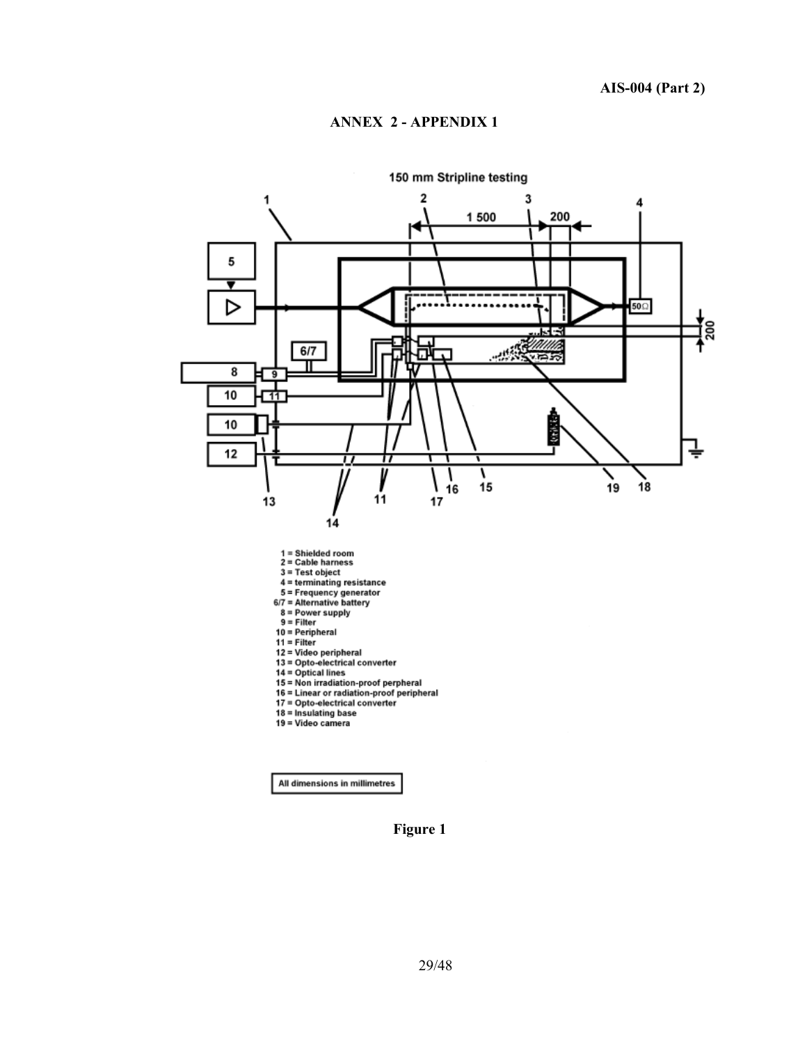

All dimensions in millimetres

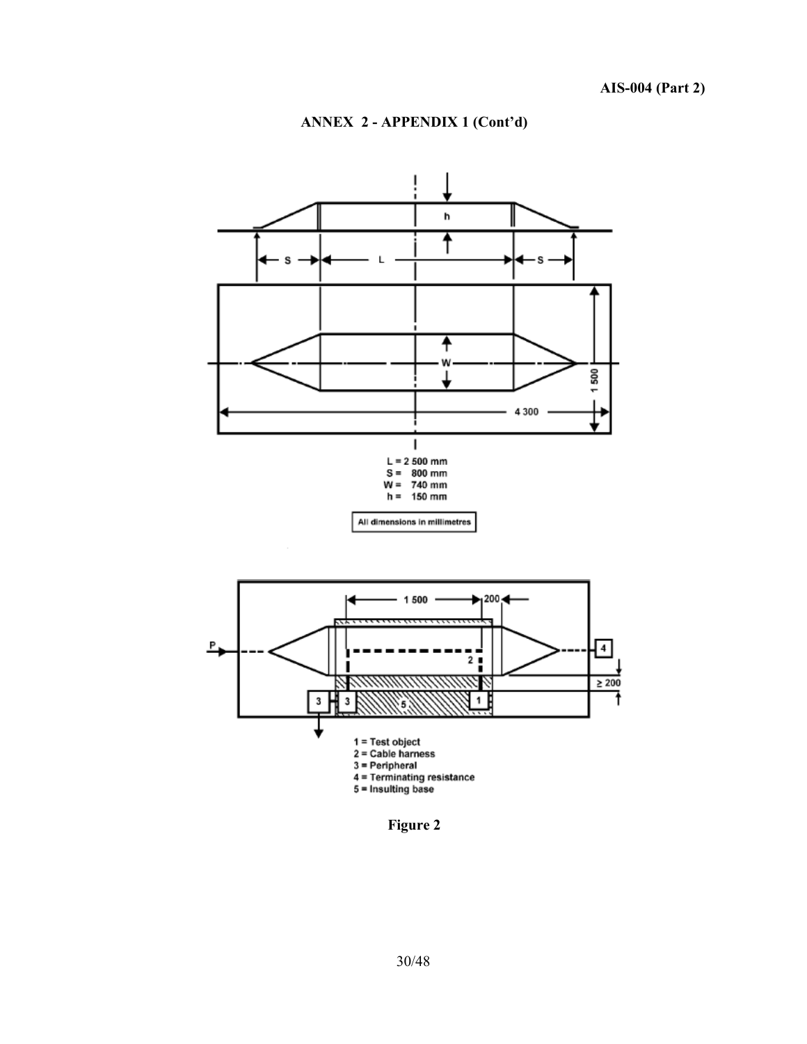



**Figure 2**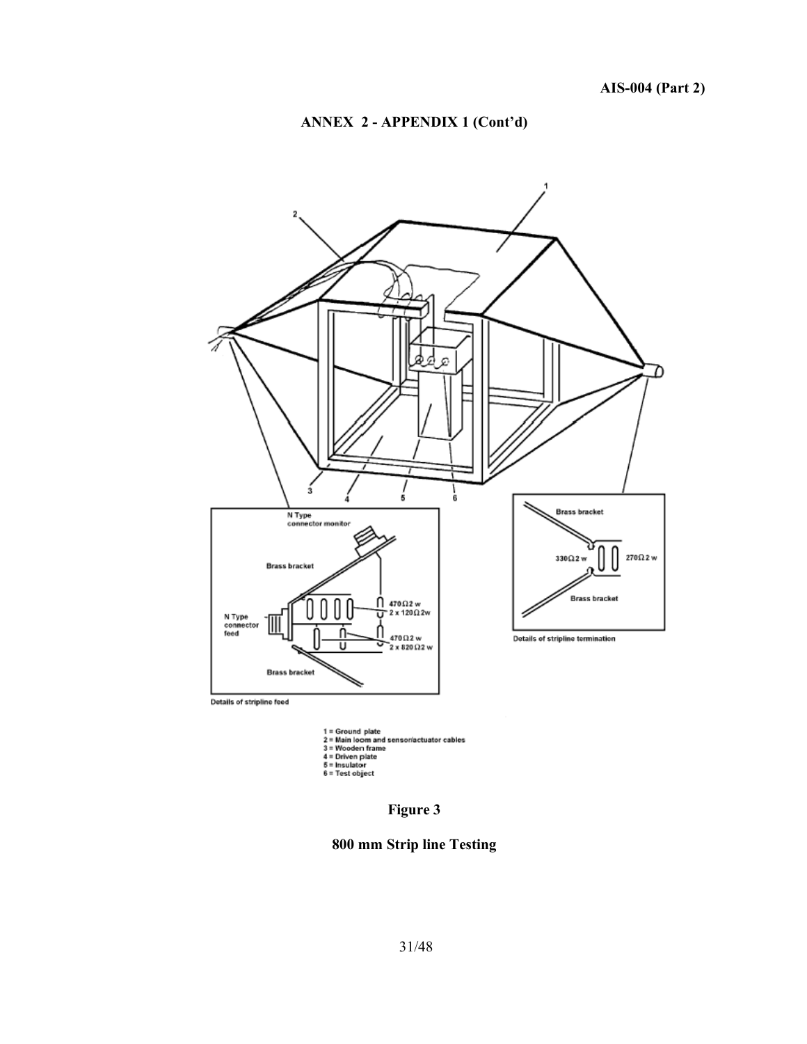



1 = Ground plate<br>2 = Main loom and sensoriactuator cables<br>3 = Wooden frame<br>4 = Driven plate<br>5 = Insulator<br>6 = Test object

**Figure 3** 

**800 mm Strip line Testing**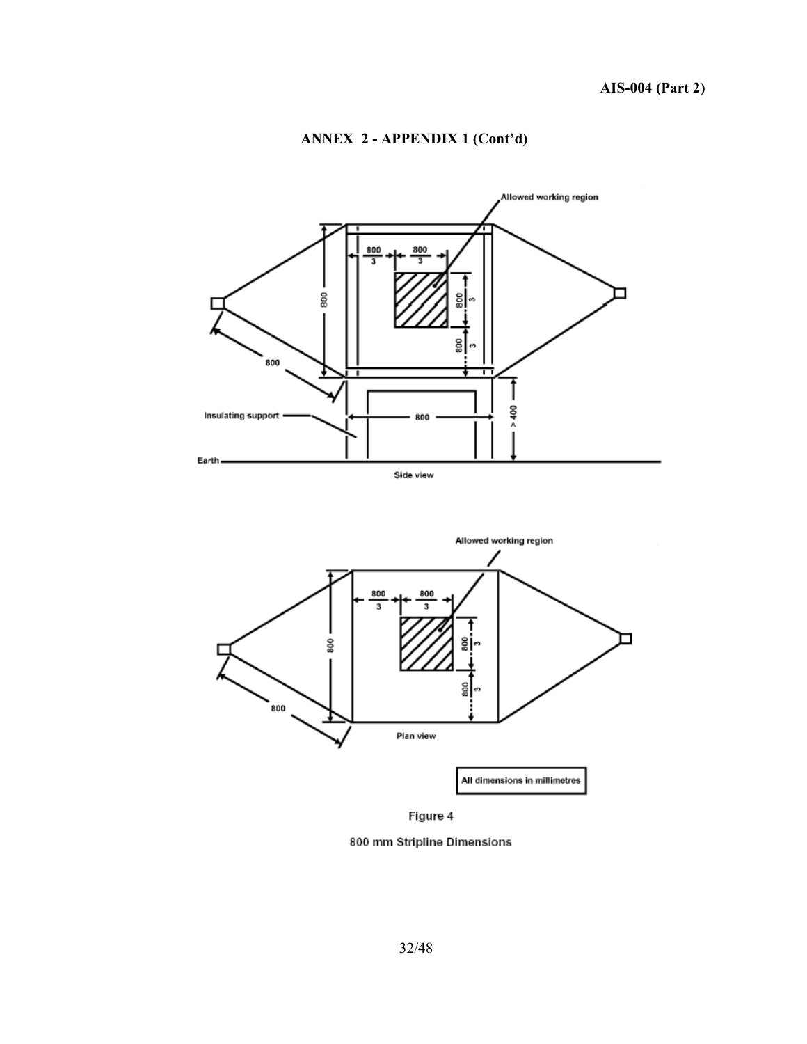

## **ANNEX 2 - APPENDIX 1 (Cont'd)**



Figure 4

800 mm Stripline Dimensions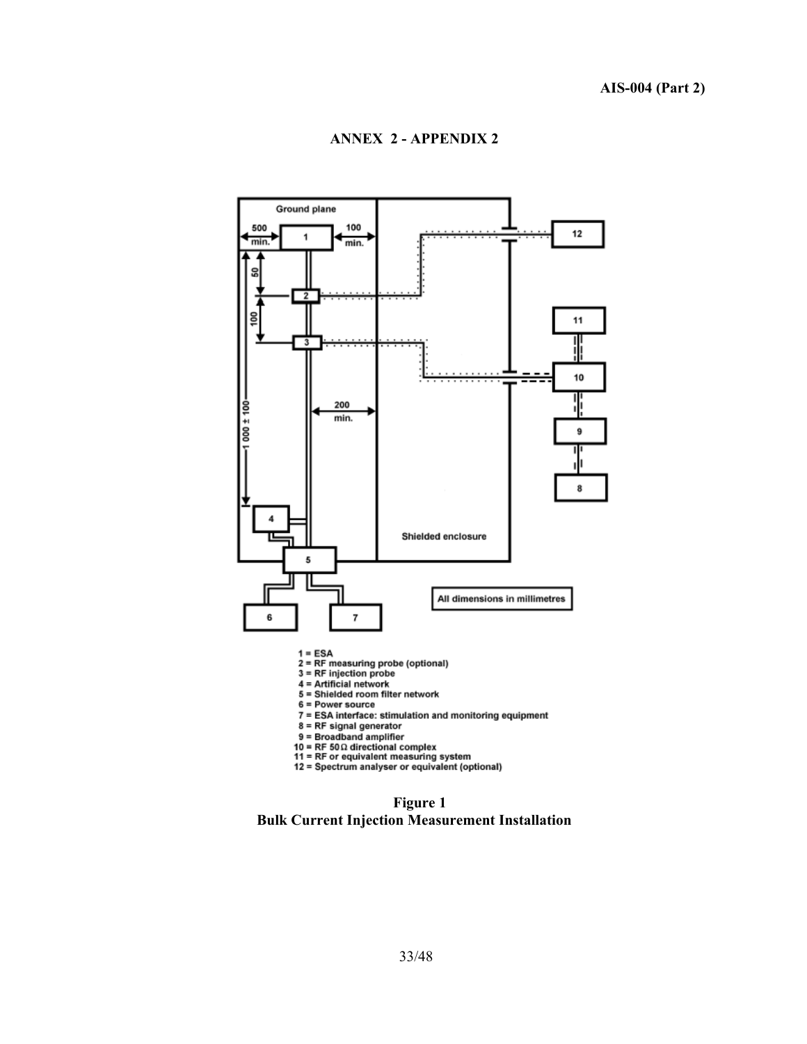

- 
- e Power source<br>
7 = ESA interface: stimulation and monitoring equipment<br>
8 = RF signal generator<br>
9 = Broadband amplifier
- 
- 
- 
- 10 = RF 50Ω directional complex<br>11 = RF 50Ω directional complex<br>11 = RF or equivalent measuring system<br>12 = Spectrum analyser or equivalent (optional)

**Figure 1 Bulk Current Injection Measurement Installation**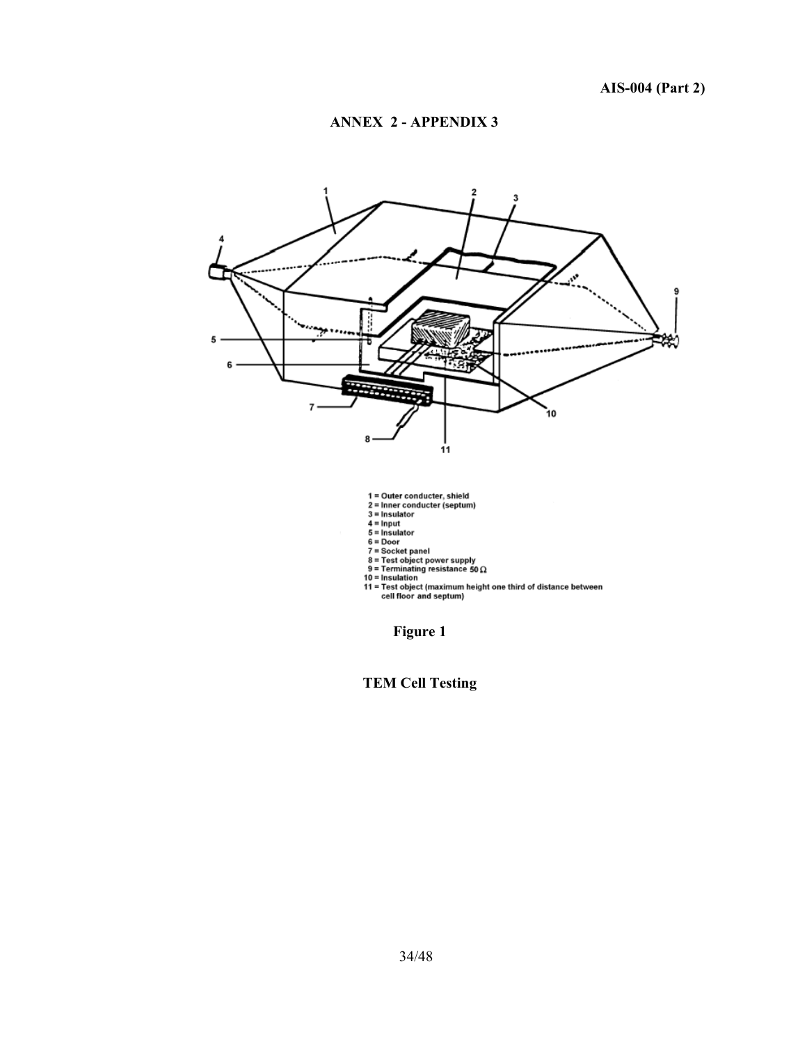

**TEM Cell Testing**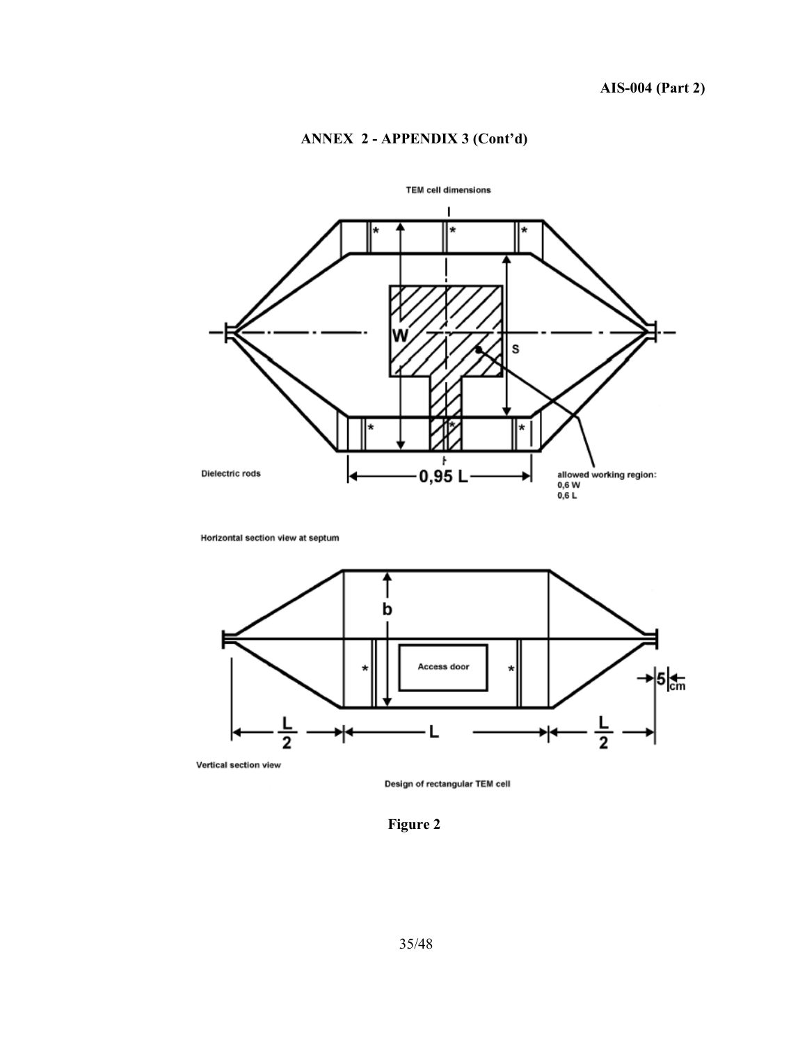## **ANNEX 2 - APPENDIX 3 (Cont'd)**



Horizontal section view at septum



Vertical section view

Design of rectangular TEM cell

**Figure 2**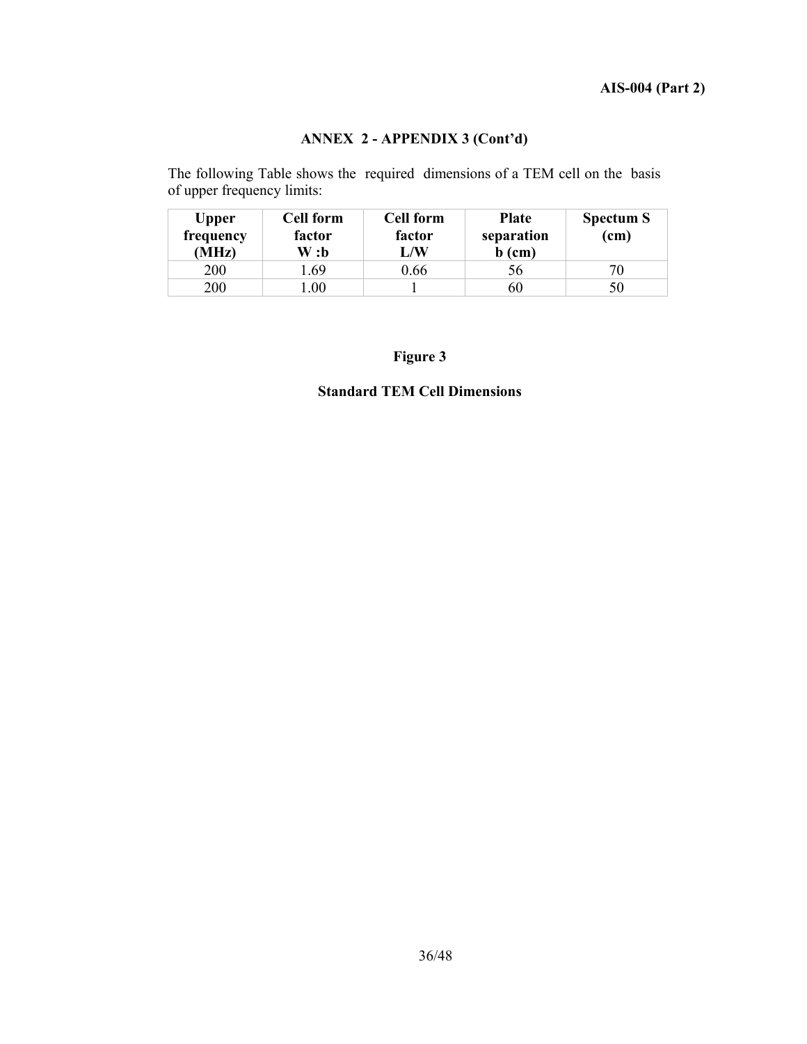## **ANNEX 2 - APPENDIX 3 (Cont'd)**

The following Table shows the required dimensions of a TEM cell on the basis of upper frequency limits:

| <b>Upper</b><br>frequency<br>(MHz) | <b>Cell form</b><br>factor<br>W :b | <b>Cell form</b><br>factor<br>L/W | <b>Plate</b><br>separation<br>$b$ (cm) | <b>Spectum S</b><br>(cm) |
|------------------------------------|------------------------------------|-----------------------------------|----------------------------------------|--------------------------|
| 200                                | .69                                | 0.66                              | эb                                     | 70                       |
| 200                                | .00                                |                                   | 60                                     | 50                       |

**Figure 3** 

#### **Standard TEM Cell Dimensions**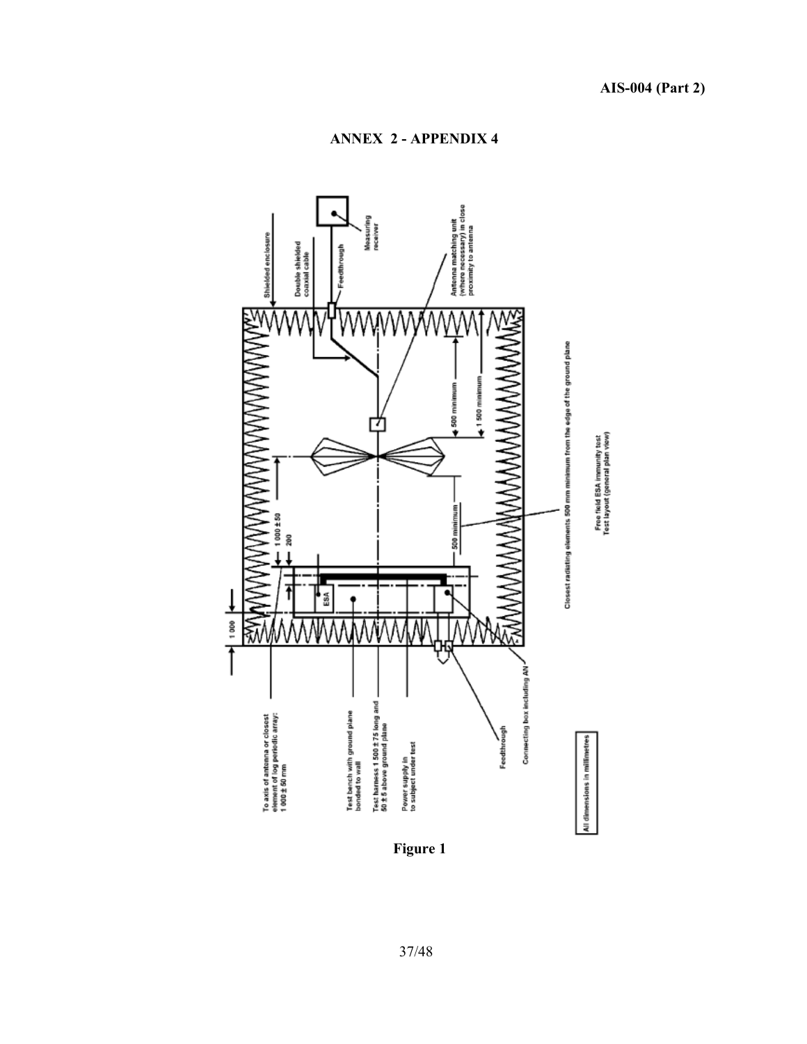

**Figure 1**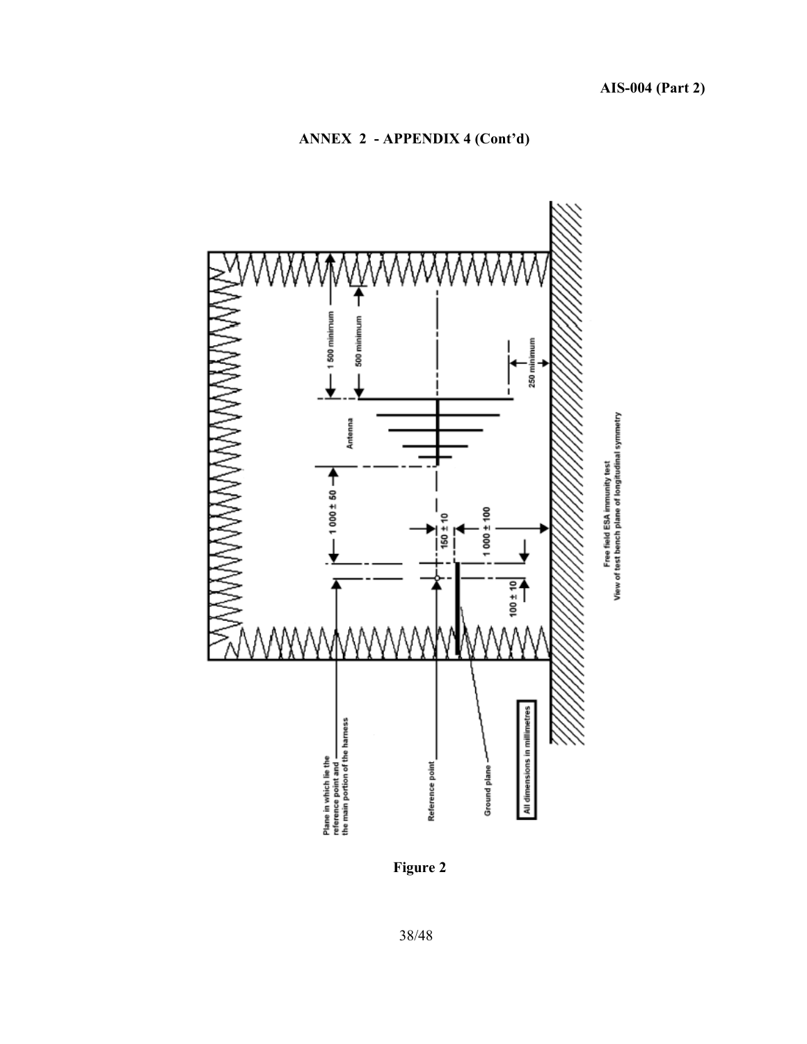## **ANNEX 2 - APPENDIX 4 (Cont'd)**



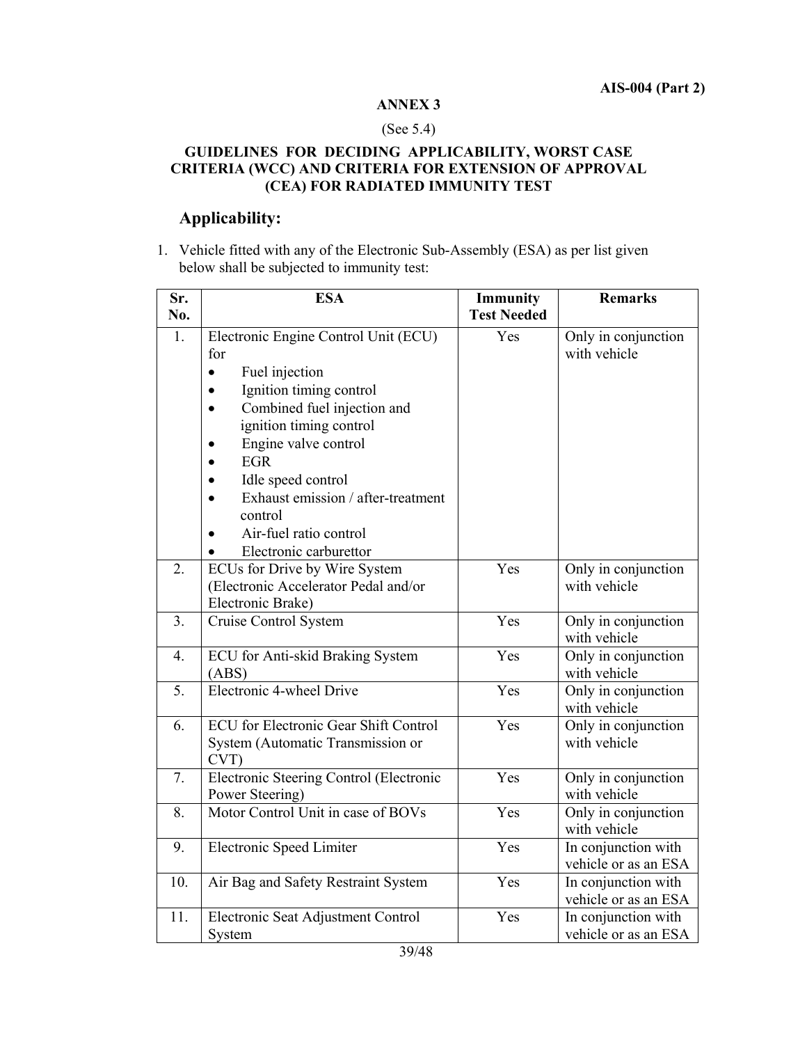#### **ANNEX 3**

#### (See 5.4)

## **GUIDELINES FOR DECIDING APPLICABILITY, WORST CASE CRITERIA (WCC) AND CRITERIA FOR EXTENSION OF APPROVAL (CEA) FOR RADIATED IMMUNITY TEST**

## **Applicability:**

1. Vehicle fitted with any of the Electronic Sub-Assembly (ESA) as per list given below shall be subjected to immunity test:

| Sr.<br>No. | <b>ESA</b>                                                                                                                                                                                                                                                                                                                                    | Immunity<br><b>Test Needed</b> | <b>Remarks</b>                              |
|------------|-----------------------------------------------------------------------------------------------------------------------------------------------------------------------------------------------------------------------------------------------------------------------------------------------------------------------------------------------|--------------------------------|---------------------------------------------|
| 1.         | Electronic Engine Control Unit (ECU)<br>for<br>Fuel injection<br>$\bullet$<br>Ignition timing control<br>$\bullet$<br>Combined fuel injection and<br>ignition timing control<br>Engine valve control<br><b>EGR</b><br>Idle speed control<br>Exhaust emission / after-treatment<br>control<br>Air-fuel ratio control<br>Electronic carburettor | Yes                            | Only in conjunction<br>with vehicle         |
| 2.         | ECUs for Drive by Wire System<br>(Electronic Accelerator Pedal and/or<br>Electronic Brake)                                                                                                                                                                                                                                                    | Yes                            | Only in conjunction<br>with vehicle         |
| 3.         | Cruise Control System                                                                                                                                                                                                                                                                                                                         | Yes                            | Only in conjunction<br>with vehicle         |
| 4.         | ECU for Anti-skid Braking System<br>(ABS)                                                                                                                                                                                                                                                                                                     | Yes                            | Only in conjunction<br>with vehicle         |
| 5.         | Electronic 4-wheel Drive                                                                                                                                                                                                                                                                                                                      | Yes                            | Only in conjunction<br>with vehicle         |
| 6.         | <b>ECU</b> for Electronic Gear Shift Control<br>System (Automatic Transmission or<br>CVT)                                                                                                                                                                                                                                                     | Yes                            | Only in conjunction<br>with vehicle         |
| 7.         | Electronic Steering Control (Electronic<br>Power Steering)                                                                                                                                                                                                                                                                                    | Yes                            | Only in conjunction<br>with vehicle         |
| 8.         | Motor Control Unit in case of BOVs                                                                                                                                                                                                                                                                                                            | Yes                            | Only in conjunction<br>with vehicle         |
| 9.         | Electronic Speed Limiter                                                                                                                                                                                                                                                                                                                      | Yes                            | In conjunction with<br>vehicle or as an ESA |
| 10.        | Air Bag and Safety Restraint System                                                                                                                                                                                                                                                                                                           | Yes                            | In conjunction with<br>vehicle or as an ESA |
| 11.        | Electronic Seat Adjustment Control<br>System                                                                                                                                                                                                                                                                                                  | Yes                            | In conjunction with<br>vehicle or as an ESA |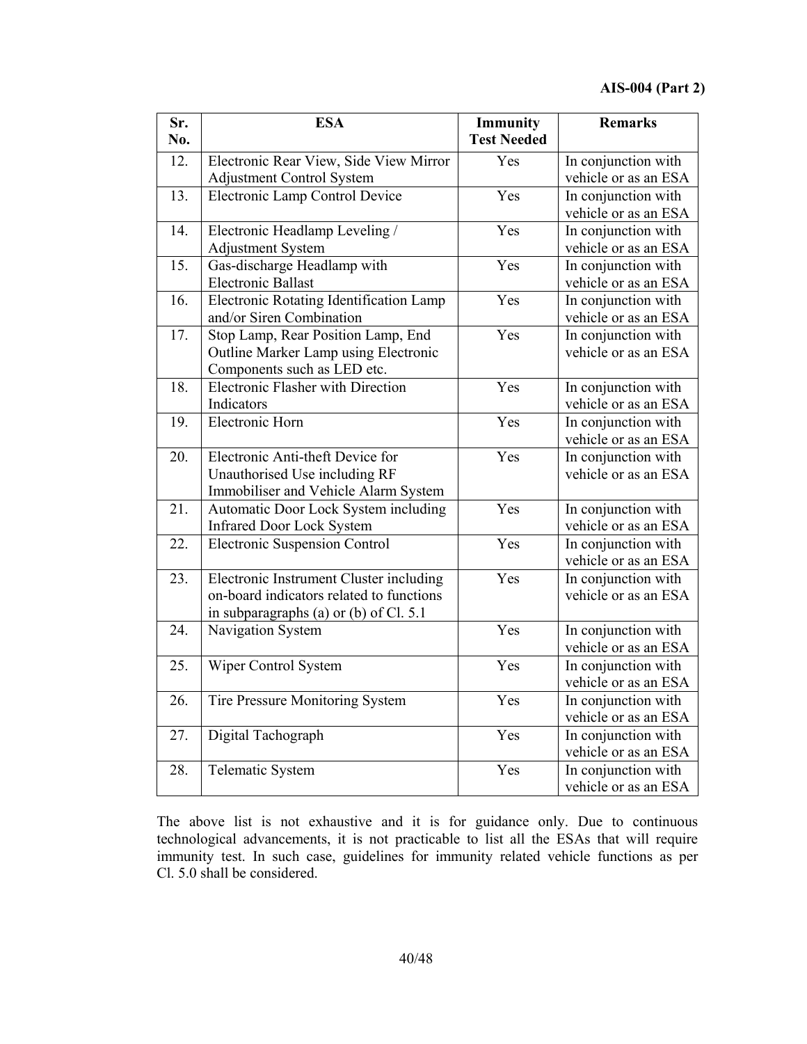| Sr.               | <b>ESA</b>                               | <b>Immunity</b>    | <b>Remarks</b>       |
|-------------------|------------------------------------------|--------------------|----------------------|
| No.               |                                          | <b>Test Needed</b> |                      |
| 12.               | Electronic Rear View, Side View Mirror   | Yes                | In conjunction with  |
|                   | <b>Adjustment Control System</b>         |                    | vehicle or as an ESA |
| 13.               | Electronic Lamp Control Device           | Yes                | In conjunction with  |
|                   |                                          |                    | vehicle or as an ESA |
| 14.               | Electronic Headlamp Leveling /           | Yes                | In conjunction with  |
|                   | Adjustment System                        |                    | vehicle or as an ESA |
| $\overline{15}$ . | Gas-discharge Headlamp with              | Yes                | In conjunction with  |
|                   | Electronic Ballast                       |                    | vehicle or as an ESA |
| 16.               | Electronic Rotating Identification Lamp  | Yes                | In conjunction with  |
|                   | and/or Siren Combination                 |                    | vehicle or as an ESA |
| $\overline{17}$ . | Stop Lamp, Rear Position Lamp, End       | Yes                | In conjunction with  |
|                   | Outline Marker Lamp using Electronic     |                    | vehicle or as an ESA |
|                   | Components such as LED etc.              |                    |                      |
| 18.               | <b>Electronic Flasher with Direction</b> | Yes                | In conjunction with  |
|                   | Indicators                               |                    | vehicle or as an ESA |
| 19.               | Electronic Horn                          | Yes                | In conjunction with  |
|                   |                                          |                    | vehicle or as an ESA |
| 20.               | Electronic Anti-theft Device for         | Yes                | In conjunction with  |
|                   | Unauthorised Use including RF            |                    | vehicle or as an ESA |
|                   | Immobiliser and Vehicle Alarm System     |                    |                      |
| 21.               | Automatic Door Lock System including     | $\overline{Yes}$   | In conjunction with  |
|                   | <b>Infrared Door Lock System</b>         |                    | vehicle or as an ESA |
| 22.               | <b>Electronic Suspension Control</b>     | Yes                | In conjunction with  |
|                   |                                          |                    | vehicle or as an ESA |
| 23.               | Electronic Instrument Cluster including  | Yes                | In conjunction with  |
|                   | on-board indicators related to functions |                    | vehicle or as an ESA |
|                   | in subparagraphs (a) or (b) of Cl. 5.1   |                    |                      |
| 24.               | Navigation System                        | Yes                | In conjunction with  |
|                   |                                          |                    | vehicle or as an ESA |
| 25.               | Wiper Control System                     | Yes                | In conjunction with  |
|                   |                                          |                    | vehicle or as an ESA |
| 26.               | Tire Pressure Monitoring System          | Yes                | In conjunction with  |
|                   |                                          |                    | vehicle or as an ESA |
| 27.               | Digital Tachograph                       | Yes                | In conjunction with  |
|                   |                                          |                    | vehicle or as an ESA |
| 28.               | Telematic System                         | Yes                | In conjunction with  |
|                   |                                          |                    | vehicle or as an ESA |

The above list is not exhaustive and it is for guidance only. Due to continuous technological advancements, it is not practicable to list all the ESAs that will require immunity test. In such case, guidelines for immunity related vehicle functions as per Cl. 5.0 shall be considered.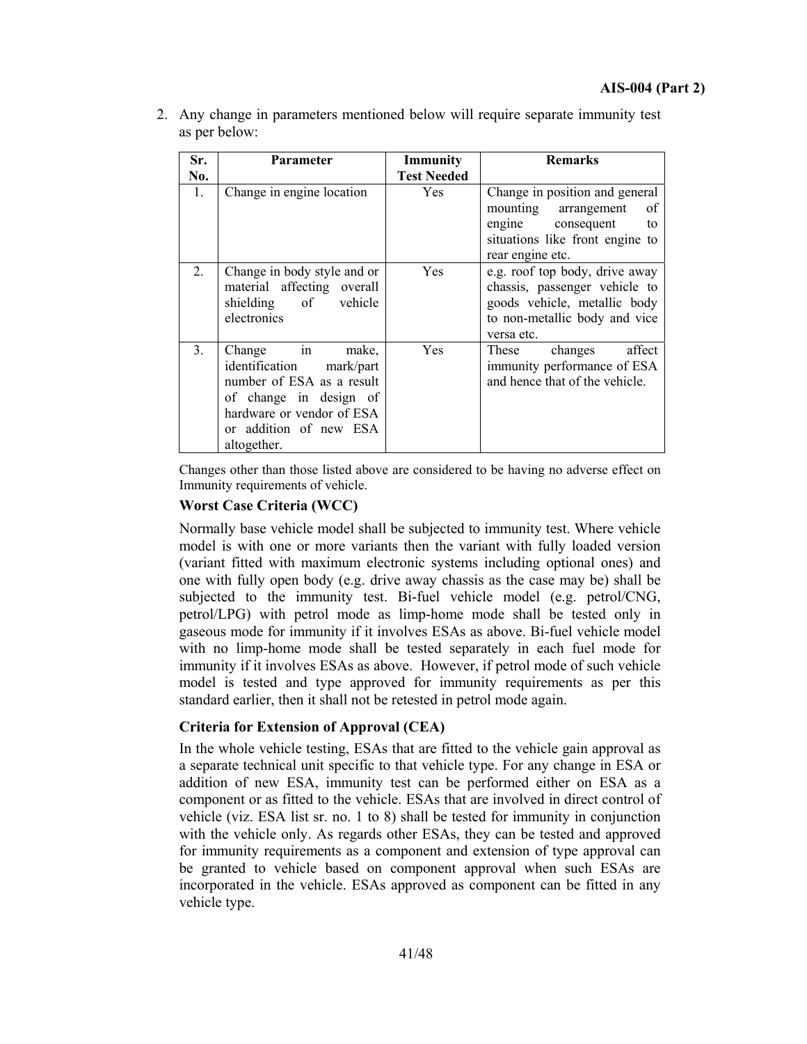| 2. Any change in parameters mentioned below will require separate immunity test |
|---------------------------------------------------------------------------------|
| as per below:                                                                   |

| Sr.            | Parameter                                                                                                                                                                   | Immunity           | <b>Remarks</b>                                                                                                                                            |
|----------------|-----------------------------------------------------------------------------------------------------------------------------------------------------------------------------|--------------------|-----------------------------------------------------------------------------------------------------------------------------------------------------------|
| No.            |                                                                                                                                                                             | <b>Test Needed</b> |                                                                                                                                                           |
| 1.             | Change in engine location                                                                                                                                                   | Yes                | Change in position and general<br>mounting arrangement<br><sub>of</sub><br>engine consequent<br>to<br>situations like front engine to<br>rear engine etc. |
| 2.             | Change in body style and or<br>material affecting overall<br>shielding of vehicle<br>electronics                                                                            | <b>Yes</b>         | e.g. roof top body, drive away<br>chassis, passenger vehicle to<br>goods vehicle, metallic body<br>to non-metallic body and vice<br>versa etc.            |
| 3 <sub>1</sub> | Change in<br>make,<br>identification mark/part<br>number of ESA as a result<br>of change in design of<br>hardware or vendor of ESA<br>or addition of new ESA<br>altogether. | <b>Yes</b>         | affect<br>changes<br>These<br>immunity performance of ESA<br>and hence that of the vehicle.                                                               |

Changes other than those listed above are considered to be having no adverse effect on Immunity requirements of vehicle.

#### **Worst Case Criteria (WCC)**

Normally base vehicle model shall be subjected to immunity test. Where vehicle model is with one or more variants then the variant with fully loaded version (variant fitted with maximum electronic systems including optional ones) and one with fully open body (e.g. drive away chassis as the case may be) shall be subjected to the immunity test. Bi-fuel vehicle model (e.g. petrol/CNG, petrol/LPG) with petrol mode as limp-home mode shall be tested only in gaseous mode for immunity if it involves ESAs as above. Bi-fuel vehicle model with no limp-home mode shall be tested separately in each fuel mode for immunity if it involves ESAs as above. However, if petrol mode of such vehicle model is tested and type approved for immunity requirements as per this standard earlier, then it shall not be retested in petrol mode again.

#### **Criteria for Extension of Approval (CEA)**

In the whole vehicle testing, ESAs that are fitted to the vehicle gain approval as a separate technical unit specific to that vehicle type. For any change in ESA or addition of new ESA, immunity test can be performed either on ESA as a component or as fitted to the vehicle. ESAs that are involved in direct control of vehicle (viz. ESA list sr. no. 1 to 8) shall be tested for immunity in conjunction with the vehicle only. As regards other ESAs, they can be tested and approved for immunity requirements as a component and extension of type approval can be granted to vehicle based on component approval when such ESAs are incorporated in the vehicle. ESAs approved as component can be fitted in any vehicle type.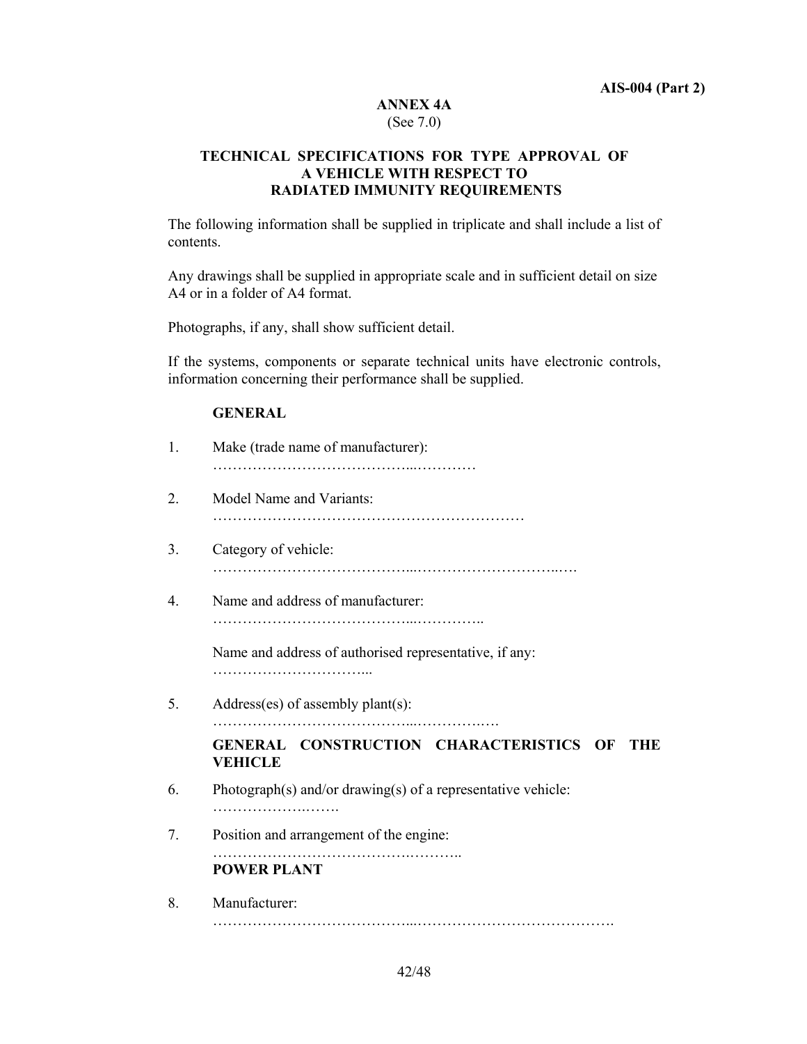#### **ANNEX 4A**  (See 7.0)

## **TECHNICAL SPECIFICATIONS FOR TYPE APPROVAL OF A VEHICLE WITH RESPECT TO RADIATED IMMUNITY REQUIREMENTS**

The following information shall be supplied in triplicate and shall include a list of contents.

Any drawings shall be supplied in appropriate scale and in sufficient detail on size A4 or in a folder of A4 format.

Photographs, if any, shall show sufficient detail.

If the systems, components or separate technical units have electronic controls, information concerning their performance shall be supplied.

## **GENERAL**

| 1.               | Make (trade name of manufacturer):                                      |
|------------------|-------------------------------------------------------------------------|
| 2.               | Model Name and Variants:                                                |
| 3.               | Category of vehicle:                                                    |
| $\overline{4}$ . | Name and address of manufacturer:                                       |
|                  | Name and address of authorised representative, if any:                  |
| 5.               | Address(es) of assembly plant(s):                                       |
|                  | GENERAL CONSTRUCTION CHARACTERISTICS OF<br><b>THE</b><br><b>VEHICLE</b> |
| 6.               | Photograph(s) and/or drawing(s) of a representative vehicle:<br>.       |
| 7.               | Position and arrangement of the engine:                                 |
|                  | <b>POWER PLANT</b>                                                      |
| 8.               | Manufacturer:                                                           |
|                  |                                                                         |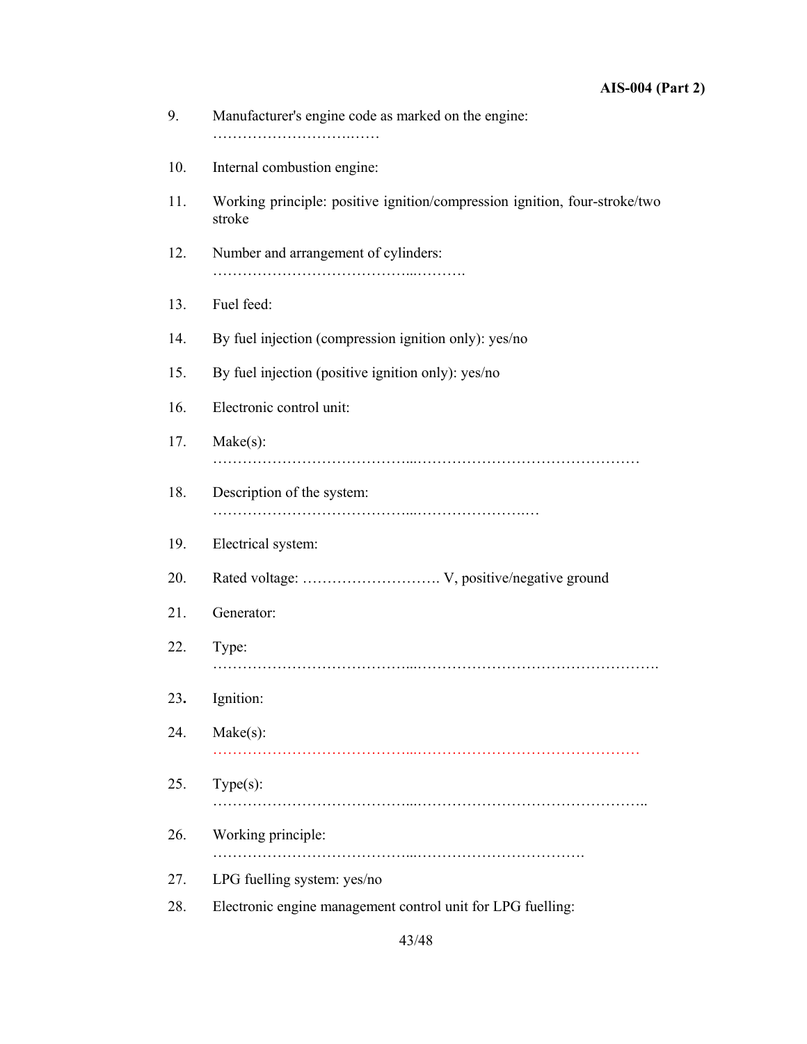| 9.  | Manufacturer's engine code as marked on the engine:                                  |
|-----|--------------------------------------------------------------------------------------|
| 10. | Internal combustion engine:                                                          |
| 11. | Working principle: positive ignition/compression ignition, four-stroke/two<br>stroke |
| 12. | Number and arrangement of cylinders:                                                 |
| 13. | Fuel feed:                                                                           |
| 14. | By fuel injection (compression ignition only): yes/no                                |
| 15. | By fuel injection (positive ignition only): yes/no                                   |
| 16. | Electronic control unit:                                                             |
| 17. | $Make(s)$ :                                                                          |
| 18. | Description of the system:                                                           |
| 19. | Electrical system:                                                                   |
| 20. |                                                                                      |
| 21. | Generator:                                                                           |
| 22. | Type:                                                                                |
| 23. | Ignition:                                                                            |
| 24. | $Make(s)$ :                                                                          |
| 25. | $Type(s)$ :                                                                          |
| 26. | Working principle:                                                                   |
| 27. | LPG fuelling system: yes/no                                                          |
| 28. | Electronic engine management control unit for LPG fuelling:                          |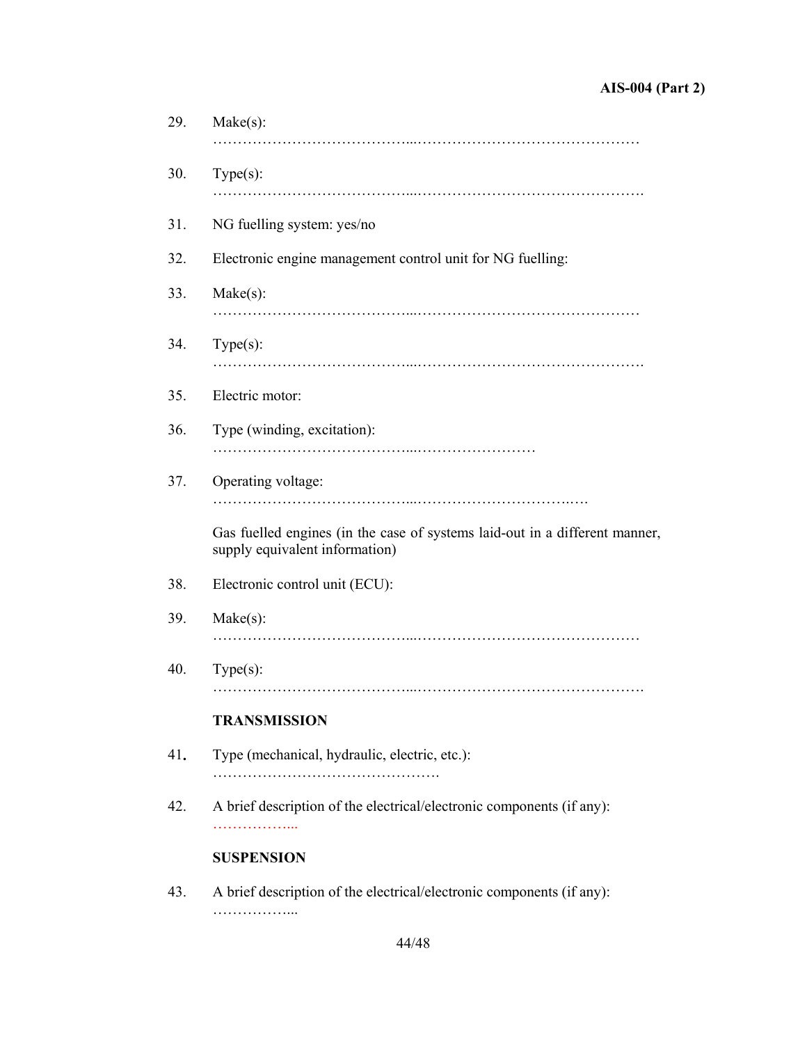| $Make(s)$ :                                                                                                   |
|---------------------------------------------------------------------------------------------------------------|
| $Type(s)$ :                                                                                                   |
| NG fuelling system: yes/no                                                                                    |
| Electronic engine management control unit for NG fuelling:                                                    |
| $Make(s)$ :                                                                                                   |
| $Type(s)$ :                                                                                                   |
| Electric motor:                                                                                               |
| Type (winding, excitation):                                                                                   |
| Operating voltage:                                                                                            |
| Gas fuelled engines (in the case of systems laid-out in a different manner,<br>supply equivalent information) |
| Electronic control unit (ECU):                                                                                |
| $Make(s)$ :                                                                                                   |
| $Type(s)$ :                                                                                                   |
| <b>TRANSMISSION</b>                                                                                           |
| Type (mechanical, hydraulic, electric, etc.):                                                                 |
| A brief description of the electrical/electronic components (if any):<br>.                                    |
| <b>SUSPENSION</b>                                                                                             |
| A brief description of the electrical/electronic components (if any):<br>.                                    |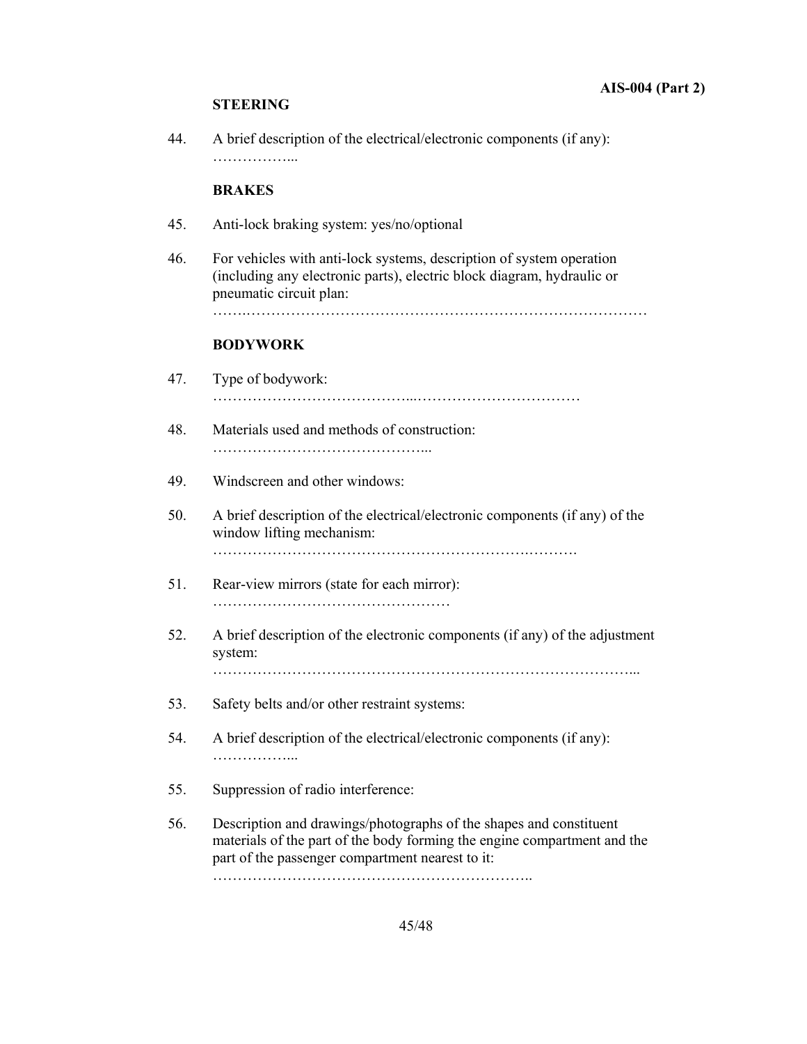#### **STEERING**

44. A brief description of the electrical/electronic components (if any): …………………

#### **BRAKES**

- 45. Anti-lock braking system: yes/no/optional
- 46. For vehicles with anti-lock systems, description of system operation (including any electronic parts), electric block diagram, hydraulic or pneumatic circuit plan:

…….………………………………………………………………………

#### **BODYWORK**

| 47 | Type of bodywork: |
|----|-------------------|
|    |                   |

- 48. Materials used and methods of construction: ……………………………………...
- 49. Windscreen and other windows:
- 50. A brief description of the electrical/electronic components (if any) of the window lifting mechanism: ……………………………………………………….……….
- 51. Rear-view mirrors (state for each mirror): …………………………………………
- 52. A brief description of the electronic components (if any) of the adjustment system: …………………………………………………………………………...
- 53. Safety belts and/or other restraint systems:
- 54. A brief description of the electrical/electronic components (if any): ……………...
- 55. Suppression of radio interference:
- 56. Description and drawings/photographs of the shapes and constituent materials of the part of the body forming the engine compartment and the part of the passenger compartment nearest to it: ………………………………………………………..

45/48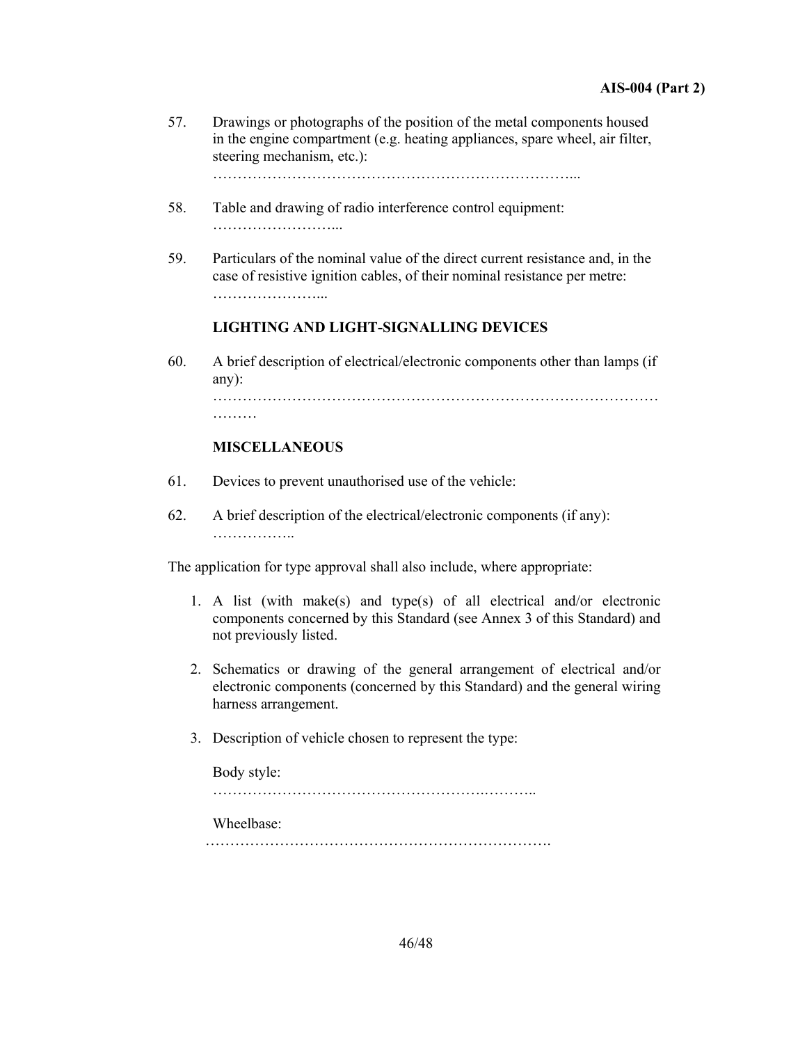57. Drawings or photographs of the position of the metal components housed in the engine compartment (e.g. heating appliances, spare wheel, air filter, steering mechanism, etc.):

………………………………………………………………...

- 58. Table and drawing of radio interference control equipment: ……………………...
- 59. Particulars of the nominal value of the direct current resistance and, in the case of resistive ignition cables, of their nominal resistance per metre: …………………...

#### **LIGHTING AND LIGHT-SIGNALLING DEVICES**

60. A brief description of electrical/electronic components other than lamps (if any): ………………………………………………………………………………

………

#### **MISCELLANEOUS**

- 61. Devices to prevent unauthorised use of the vehicle:
- 62. A brief description of the electrical/electronic components (if any): ……………..

The application for type approval shall also include, where appropriate:

- 1. A list (with make(s) and type(s) of all electrical and/or electronic components concerned by this Standard (see Annex 3 of this Standard) and not previously listed.
- 2. Schematics or drawing of the general arrangement of electrical and/or electronic components (concerned by this Standard) and the general wiring harness arrangement.
- 3. Description of vehicle chosen to represent the type:

 Body style: ……………………………………………….……….. Wheelbase: …………………………………………………………….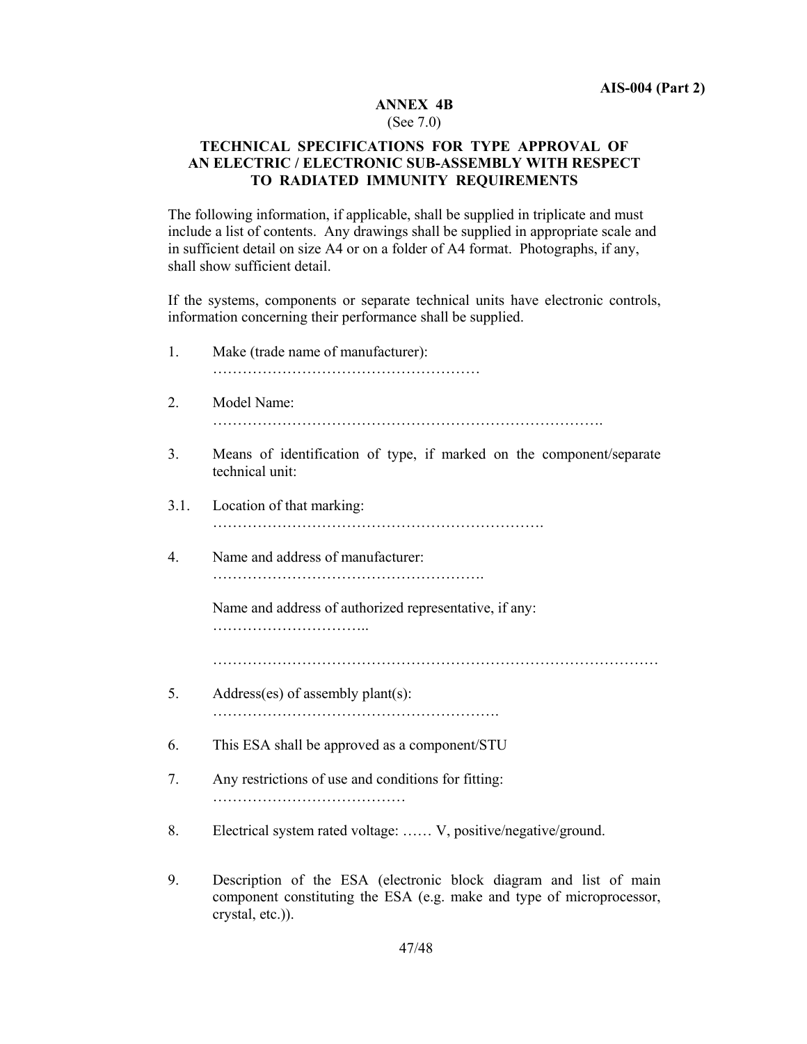## **ANNEX 4B**

#### (See 7.0)

## **TECHNICAL SPECIFICATIONS FOR TYPE APPROVAL OF AN ELECTRIC / ELECTRONIC SUB-ASSEMBLY WITH RESPECT TO RADIATED IMMUNITY REQUIREMENTS**

The following information, if applicable, shall be supplied in triplicate and must include a list of contents. Any drawings shall be supplied in appropriate scale and in sufficient detail on size A4 or on a folder of A4 format. Photographs, if any, shall show sufficient detail.

If the systems, components or separate technical units have electronic controls, information concerning their performance shall be supplied.

| 1.   | Make (trade name of manufacturer):                                                                                                                             |
|------|----------------------------------------------------------------------------------------------------------------------------------------------------------------|
| 2.   | Model Name:                                                                                                                                                    |
| 3.   | Means of identification of type, if marked on the component/separate<br>technical unit:                                                                        |
| 3.1. | Location of that marking:                                                                                                                                      |
| 4.   | Name and address of manufacturer:                                                                                                                              |
|      | Name and address of authorized representative, if any:                                                                                                         |
|      |                                                                                                                                                                |
| 5.   | $Address(es)$ of assembly plant $(s)$ :                                                                                                                        |
| 6.   | This ESA shall be approved as a component/STU                                                                                                                  |
| 7.   | Any restrictions of use and conditions for fitting:                                                                                                            |
| 8.   | Electrical system rated voltage:  V, positive/negative/ground.                                                                                                 |
| 9.   | Description of the ESA (electronic block diagram and list of main<br>component constituting the ESA (e.g. make and type of microprocessor,<br>crystal, etc.)). |